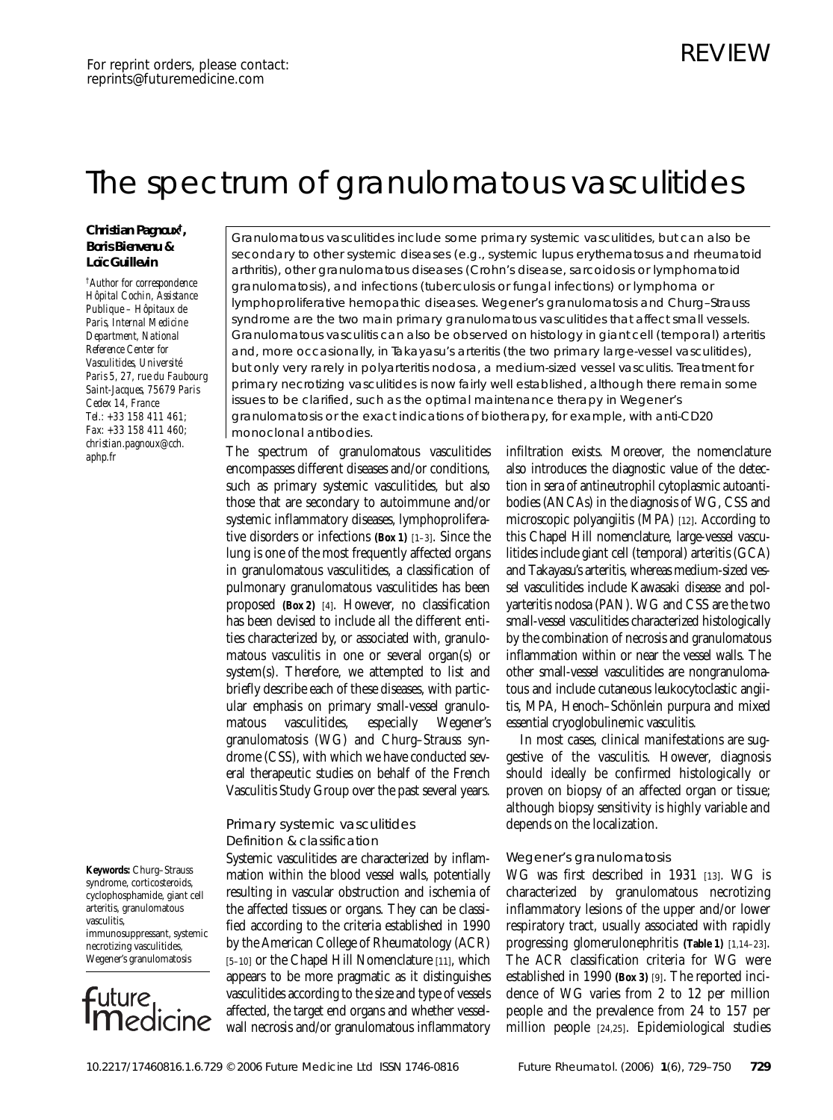# The spectrum of granulomatous vasculitides

## *Christian Pagnoux†, Boris Bienvenu & Loïc Guillevin*

*†Author for correspondence Hôpital Cochin, Assistance Publique – Hôpitaux de Paris, Internal Medicine Department, National Reference Center for Vasculitides, Université Paris 5, 27, rue du Faubourg Saint-Jacques, 75679 Paris Cedex 14, France Tel.: +33 158 411 461; Fax: +33 158 411 460; christian.pagnoux@cch. aphp.fr*

**Keywords:** Churg–Strauss syndrome, corticosteroids, cyclophosphamide, giant cell arteritis, granulomatous vasculitis, immunosuppressant, systemic necrotizing vasculitides, Wegener's granulomatosis



Granulomatous vasculitides include some primary systemic vasculitides, but can also be secondary to other systemic diseases (e.g., systemic lupus erythematosus and rheumatoid arthritis), other granulomatous diseases (Crohn's disease, sarcoidosis or lymphomatoid granulomatosis), and infections (tuberculosis or fungal infections) or lymphoma or lymphoproliferative hemopathic diseases. Wegener's granulomatosis and Churg–Strauss syndrome are the two main primary granulomatous vasculitides that affect small vessels. Granulomatous vasculitis can also be observed on histology in giant cell (temporal) arteritis and, more occasionally, in Takayasu's arteritis (the two primary large-vessel vasculitides), but only very rarely in polyarteritis nodosa, a medium-sized vessel vasculitis. Treatment for primary necrotizing vasculitides is now fairly well established, although there remain some issues to be clarified, such as the optimal maintenance therapy in Wegener's granulomatosis or the exact indications of biotherapy, for example, with anti-CD20 monoclonal antibodies.

The spectrum of granulomatous vasculitides encompasses different diseases and/or conditions, such as primary systemic vasculitides, but also those that are secondary to autoimmune and/or systemic inflammatory diseases, lymphoproliferative disorders or infections **(Box 1)** [1–3]. Since the lung is one of the most frequently affected organs in granulomatous vasculitides, a classification of pulmonary granulomatous vasculitides has been proposed **(Box 2)** [4]. However, no classification has been devised to include all the different entities characterized by, or associated with, granulomatous vasculitis in one or several organ(s) or system(s). Therefore, we attempted to list and briefly describe each of these diseases, with particular emphasis on primary small-vessel granulomatous vasculitides, especially Wegener's granulomatosis (WG) and Churg–Strauss syndrome (CSS), with which we have conducted several therapeutic studies on behalf of the French Vasculitis Study Group over the past several years.

#### Primary systemic vasculitides *Definition & classification*

Systemic vasculitides are characterized by inflammation within the blood vessel walls, potentially resulting in vascular obstruction and ischemia of the affected tissues or organs. They can be classified according to the criteria established in 1990 by the American College of Rheumatology (ACR) [5-10] or the Chapel Hill Nomenclature [11], which appears to be more pragmatic as it distinguishes vasculitides according to the size and type of vessels affected, the target end organs and whether vesselwall necrosis and/or granulomatous inflammatory

infiltration exists. Moreover, the nomenclature also introduces the diagnostic value of the detection in sera of antineutrophil cytoplasmic autoantibodies (ANCAs) in the diagnosis of WG, CSS and microscopic polyangiitis (MPA) [12]. According to this Chapel Hill nomenclature, large-vessel vasculitides include giant cell (temporal) arteritis (GCA) and Takayasu's arteritis, whereas medium-sized vessel vasculitides include Kawasaki disease and polyarteritis nodosa (PAN). WG and CSS are the two small-vessel vasculitides characterized histologically by the combination of necrosis and granulomatous inflammation within or near the vessel walls. The other small-vessel vasculitides are nongranulomatous and include cutaneous leukocytoclastic angiitis, MPA, Henoch–Schönlein purpura and mixed essential cryoglobulinemic vasculitis.

In most cases, clinical manifestations are suggestive of the vasculitis. However, diagnosis should ideally be confirmed histologically or proven on biopsy of an affected organ or tissue; although biopsy sensitivity is highly variable and depends on the localization.

## *Wegener's granulomatosis*

WG was first described in 1931 [13]. WG is characterized by granulomatous necrotizing inflammatory lesions of the upper and/or lower respiratory tract, usually associated with rapidly progressing glomerulonephritis **(Table 1)** [1,14–23]. The ACR classification criteria for WG were established in 1990 **(Box 3)** [9]. The reported incidence of WG varies from 2 to 12 per million people and the prevalence from 24 to 157 per million people [24,25]. Epidemiological studies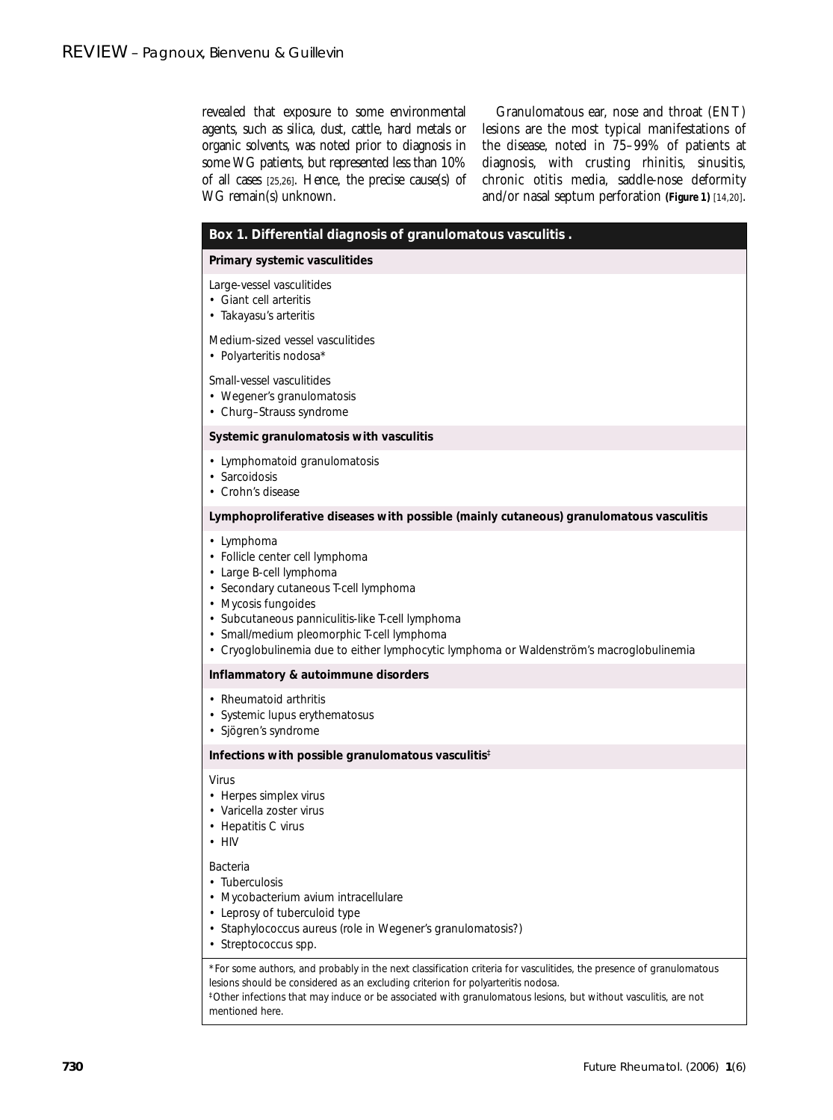revealed that exposure to some environmental agents, such as silica, dust, cattle, hard metals or organic solvents, was noted prior to diagnosis in some WG patients, but represented less than 10% of all cases [25,26]. Hence, the precise cause(s) of WG remain(s) unknown.

Granulomatous ear, nose and throat (ENT) lesions are the most typical manifestations of the disease, noted in 75–99% of patients at diagnosis, with crusting rhinitis, sinusitis, chronic otitis media, saddle-nose deformity and/or nasal septum perforation **(Figure 1)** [14,20].

| Box 1. Differential diagnosis of granulomatous vasculitis.                                                                                                                                                                                                                                                                                               |
|----------------------------------------------------------------------------------------------------------------------------------------------------------------------------------------------------------------------------------------------------------------------------------------------------------------------------------------------------------|
| Primary systemic vasculitides                                                                                                                                                                                                                                                                                                                            |
| Large-vessel vasculitides<br>• Giant cell arteritis<br>• Takayasu's arteritis                                                                                                                                                                                                                                                                            |
| Medium-sized vessel vasculitides<br>• Polyarteritis nodosa*                                                                                                                                                                                                                                                                                              |
| Small-vessel vasculitides<br>• Wegener's granulomatosis<br>• Churg-Strauss syndrome                                                                                                                                                                                                                                                                      |
| Systemic granulomatosis with vasculitis                                                                                                                                                                                                                                                                                                                  |
| • Lymphomatoid granulomatosis<br>• Sarcoidosis<br>• Crohn's disease                                                                                                                                                                                                                                                                                      |
| Lymphoproliferative diseases with possible (mainly cutaneous) granulomatous vasculitis                                                                                                                                                                                                                                                                   |
| • Lymphoma<br>• Follicle center cell lymphoma<br>• Large B-cell lymphoma<br>• Secondary cutaneous T-cell lymphoma<br>• Mycosis fungoides<br>· Subcutaneous panniculitis-like T-cell lymphoma<br>· Small/medium pleomorphic T-cell lymphoma<br>· Cryoglobulinemia due to either lymphocytic lymphoma or Waldenström's macroglobulinemia                   |
| Inflammatory & autoimmune disorders                                                                                                                                                                                                                                                                                                                      |
| • Rheumatoid arthritis<br>• Systemic lupus erythematosus<br>· Sjögren's syndrome                                                                                                                                                                                                                                                                         |
| Infections with possible granulomatous vasculitist                                                                                                                                                                                                                                                                                                       |
| Virus<br>• Herpes simplex virus<br>• Varicella zoster virus<br>• Hepatitis C virus<br>$\cdot$ HIV                                                                                                                                                                                                                                                        |
| Bacteria<br>• Tuberculosis<br>Mycobacterium avium intracellulare<br>• Leprosy of tuberculoid type<br>• Staphylococcus aureus (role in Wegener's granulomatosis?)<br>• Streptococcus spp.                                                                                                                                                                 |
| *For some authors, and probably in the next classification criteria for vasculitides, the presence of granulomatous<br>lesions should be considered as an excluding criterion for polyarteritis nodosa.<br><sup>‡</sup> Other infections that may induce or be associated with granulomatous lesions, but without vasculitis, are not<br>mentioned here. |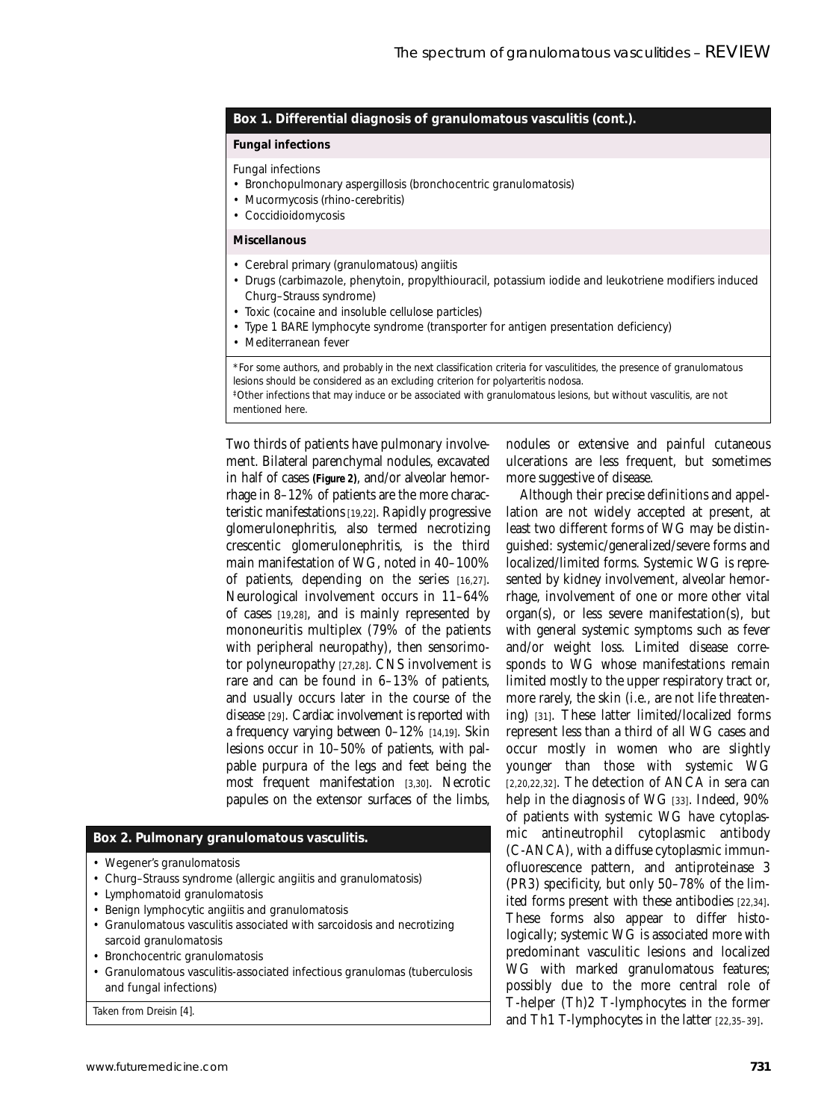# **Box 1. Differential diagnosis of granulomatous vasculitis (cont.).**

#### *Fungal infections*

Fungal infections

- Bronchopulmonary aspergillosis (bronchocentric granulomatosis)
- Mucormycosis (rhino-cerebritis)
- Coccidioidomycosis

#### *Miscellanous*

- Cerebral primary (granulomatous) angiitis
- Drugs (carbimazole, phenytoin, propylthiouracil, potassium iodide and leukotriene modifiers induced Churg–Strauss syndrome)
- Toxic (cocaine and insoluble cellulose particles)
- Type 1 BARE lymphocyte syndrome (transporter for antigen presentation deficiency)
- Mediterranean fever

*\*For some authors, and probably in the next classification criteria for vasculitides, the presence of granulomatous lesions should be considered as an excluding criterion for polyarteritis nodosa.* ‡*Other infections that may induce or be associated with granulomatous lesions, but without vasculitis, are not* 

*mentioned here.*

Two thirds of patients have pulmonary involvement. Bilateral parenchymal nodules, excavated in half of cases **(Figure 2)**, and/or alveolar hemorrhage in 8–12% of patients are the more characteristic manifestations [19,22]. Rapidly progressive glomerulonephritis, also termed necrotizing crescentic glomerulonephritis, is the third main manifestation of WG, noted in 40–100% of patients, depending on the series [16,27]. Neurological involvement occurs in 11–64% of cases [19,28], and is mainly represented by mononeuritis multiplex (79% of the patients with peripheral neuropathy), then sensorimotor polyneuropathy [27,28]. CNS involvement is rare and can be found in 6–13% of patients, and usually occurs later in the course of the disease [29]. Cardiac involvement is reported with a frequency varying between 0–12% [14,19]. Skin lesions occur in 10–50% of patients, with palpable purpura of the legs and feet being the most frequent manifestation [3,30]. Necrotic papules on the extensor surfaces of the limbs,

#### **Box 2. Pulmonary granulomatous vasculitis.**

- Wegener's granulomatosis
- Churg–Strauss syndrome (allergic angiitis and granulomatosis)
- Lymphomatoid granulomatosis
- Benign lymphocytic angiitis and granulomatosis
- Granulomatous vasculitis associated with sarcoidosis and necrotizing sarcoid granulomatosis
- Bronchocentric granulomatosis
- Granulomatous vasculitis-associated infectious granulomas (tuberculosis and fungal infections)

*Taken from Dreisin* [4]*.*

nodules or extensive and painful cutaneous ulcerations are less frequent, but sometimes more suggestive of disease.

Although their precise definitions and appellation are not widely accepted at present, at least two different forms of WG may be distinguished: systemic/generalized/severe forms and localized/limited forms. Systemic WG is represented by kidney involvement, alveolar hemorrhage, involvement of one or more other vital organ(s), or less severe manifestation(s), but with general systemic symptoms such as fever and/or weight loss. Limited disease corresponds to WG whose manifestations remain limited mostly to the upper respiratory tract or, more rarely, the skin (i.e., are not life threatening) [31]. These latter limited/localized forms represent less than a third of all WG cases and occur mostly in women who are slightly younger than those with systemic WG [2,20,22,32]. The detection of ANCA in sera can help in the diagnosis of WG [33]. Indeed, 90% of patients with systemic WG have cytoplasmic antineutrophil cytoplasmic antibody (C-ANCA), with a diffuse cytoplasmic immunofluorescence pattern, and antiproteinase 3 (PR3) specificity, but only 50–78% of the limited forms present with these antibodies [22,34]. These forms also appear to differ histologically; systemic WG is associated more with predominant vasculitic lesions and localized WG with marked granulomatous features; possibly due to the more central role of T-helper (Th)2 T-lymphocytes in the former and Th1 T-lymphocytes in the latter [22,35–39].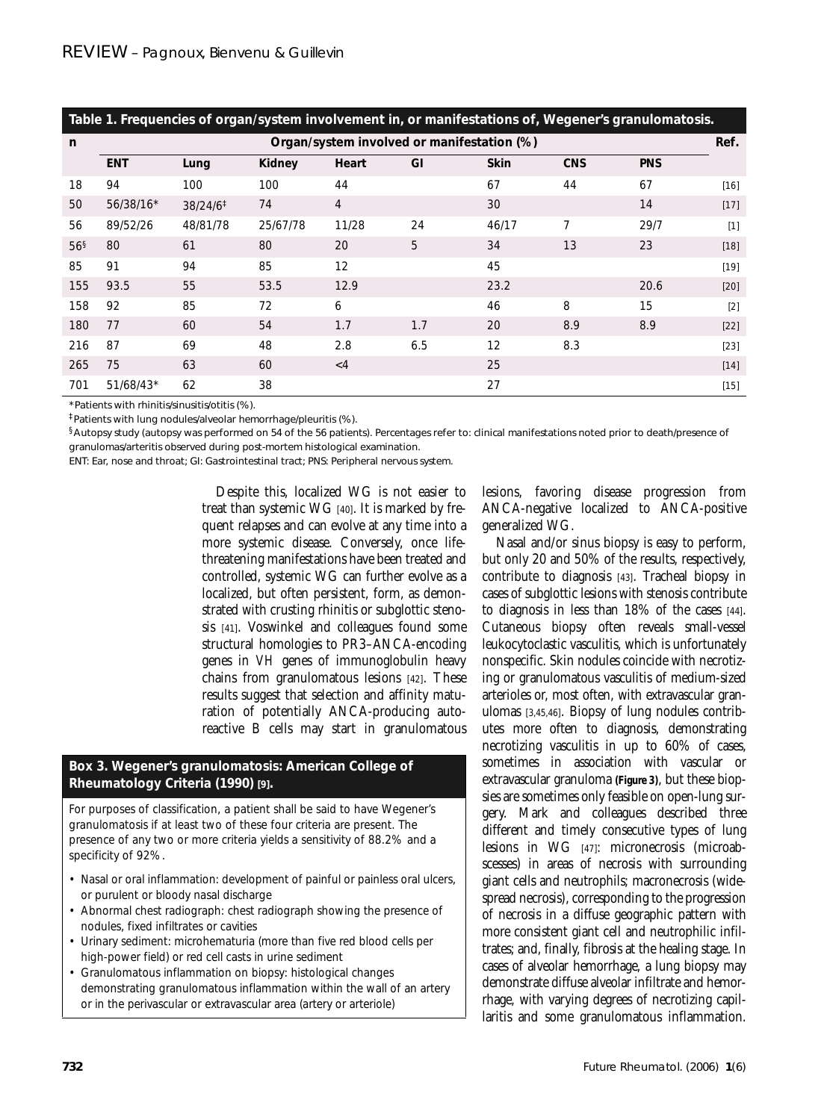**Table 1. Frequencies of organ/system involvement in, or manifestations of, Wegener's granulomatosis.**

| n               | Organ/system involved or manifestation (%) |          |               |       |     |             |            |            | Ref.   |
|-----------------|--------------------------------------------|----------|---------------|-------|-----|-------------|------------|------------|--------|
|                 | <b>ENT</b>                                 | Lung     | <b>Kidney</b> | Heart | GI  | <b>Skin</b> | <b>CNS</b> | <b>PNS</b> |        |
| 18              | 94                                         | 100      | 100           | 44    |     | 67          | 44         | 67         | $[16]$ |
| 50              | 56/38/16*                                  | 38/24/6# | 74            | 4     |     | 30          |            | 14         | $[17]$ |
| 56              | 89/52/26                                   | 48/81/78 | 25/67/78      | 11/28 | 24  | 46/17       | 7          | 29/7       | [1]    |
| 56 <sup>§</sup> | 80                                         | 61       | 80            | 20    | 5   | 34          | 13         | 23         | $[18]$ |
| 85              | 91                                         | 94       | 85            | 12    |     | 45          |            |            | $[19]$ |
| 155             | 93.5                                       | 55       | 53.5          | 12.9  |     | 23.2        |            | 20.6       | $[20]$ |
| 158             | 92                                         | 85       | 72            | 6     |     | 46          | 8          | 15         | [2]    |
| 180             | 77                                         | 60       | 54            | 1.7   | 1.7 | 20          | 8.9        | 8.9        | $[22]$ |
| 216             | 87                                         | 69       | 48            | 2.8   | 6.5 | 12          | 8.3        |            | $[23]$ |
| 265             | 75                                         | 63       | 60            | $<$ 4 |     | 25          |            |            | $[14]$ |
| 701             | 51/68/43*                                  | 62       | 38            |       |     | 27          |            |            | $[15]$ |

*\*Patients with rhinitis/sinusitis/otitis (%).*

‡*Patients with lung nodules/alveolar hemorrhage/pleuritis (%).* 

§*Autopsy study (autopsy was performed on 54 of the 56 patients). Percentages refer to: clinical manifestations noted prior to death/presence of granulomas/arteritis observed during post-mortem histological examination.*

*ENT: Ear, nose and throat; GI: Gastrointestinal tract; PNS: Peripheral nervous system.*

Despite this, localized WG is not easier to treat than systemic WG [40]. It is marked by frequent relapses and can evolve at any time into a more systemic disease. Conversely, once lifethreatening manifestations have been treated and controlled, systemic WG can further evolve as a localized, but often persistent, form, as demonstrated with crusting rhinitis or subglottic stenosis [41]. Voswinkel and colleagues found some structural homologies to PR3–ANCA-encoding genes in *VH* genes of immunoglobulin heavy chains from granulomatous lesions [42]. These results suggest that selection and affinity maturation of potentially ANCA-producing autoreactive B cells may start in granulomatous

# **Box 3. Wegener's granulomatosis: American College of Rheumatology Criteria (1990) [9].**

For purposes of classification, a patient shall be said to have Wegener's granulomatosis if at least two of these four criteria are present. The presence of any two or more criteria yields a sensitivity of 88.2% and a specificity of 92%.

- Nasal or oral inflammation: development of painful or painless oral ulcers, or purulent or bloody nasal discharge
- Abnormal chest radiograph: chest radiograph showing the presence of nodules, fixed infiltrates or cavities
- Urinary sediment: microhematuria (more than five red blood cells per high-power field) or red cell casts in urine sediment
- Granulomatous inflammation on biopsy: histological changes demonstrating granulomatous inflammation within the wall of an artery or in the perivascular or extravascular area (artery or arteriole)

lesions, favoring disease progression from ANCA-negative localized to ANCA-positive generalized WG.

Nasal and/or sinus biopsy is easy to perform, but only 20 and 50% of the results, respectively, contribute to diagnosis [43]. Tracheal biopsy in cases of subglottic lesions with stenosis contribute to diagnosis in less than 18% of the cases [44]. Cutaneous biopsy often reveals small-vessel leukocytoclastic vasculitis, which is unfortunately nonspecific. Skin nodules coincide with necrotizing or granulomatous vasculitis of medium-sized arterioles or, most often, with extravascular granulomas [3,45,46]. Biopsy of lung nodules contributes more often to diagnosis, demonstrating necrotizing vasculitis in up to 60% of cases, sometimes in association with vascular or extravascular granuloma **(Figure 3)**, but these biopsies are sometimes only feasible on open-lung surgery. Mark and colleagues described three different and timely consecutive types of lung lesions in WG [47]: micronecrosis (microabscesses) in areas of necrosis with surrounding giant cells and neutrophils; macronecrosis (widespread necrosis), corresponding to the progression of necrosis in a diffuse geographic pattern with more consistent giant cell and neutrophilic infiltrates; and, finally, fibrosis at the healing stage. In cases of alveolar hemorrhage, a lung biopsy may demonstrate diffuse alveolar infiltrate and hemorrhage, with varying degrees of necrotizing capillaritis and some granulomatous inflammation.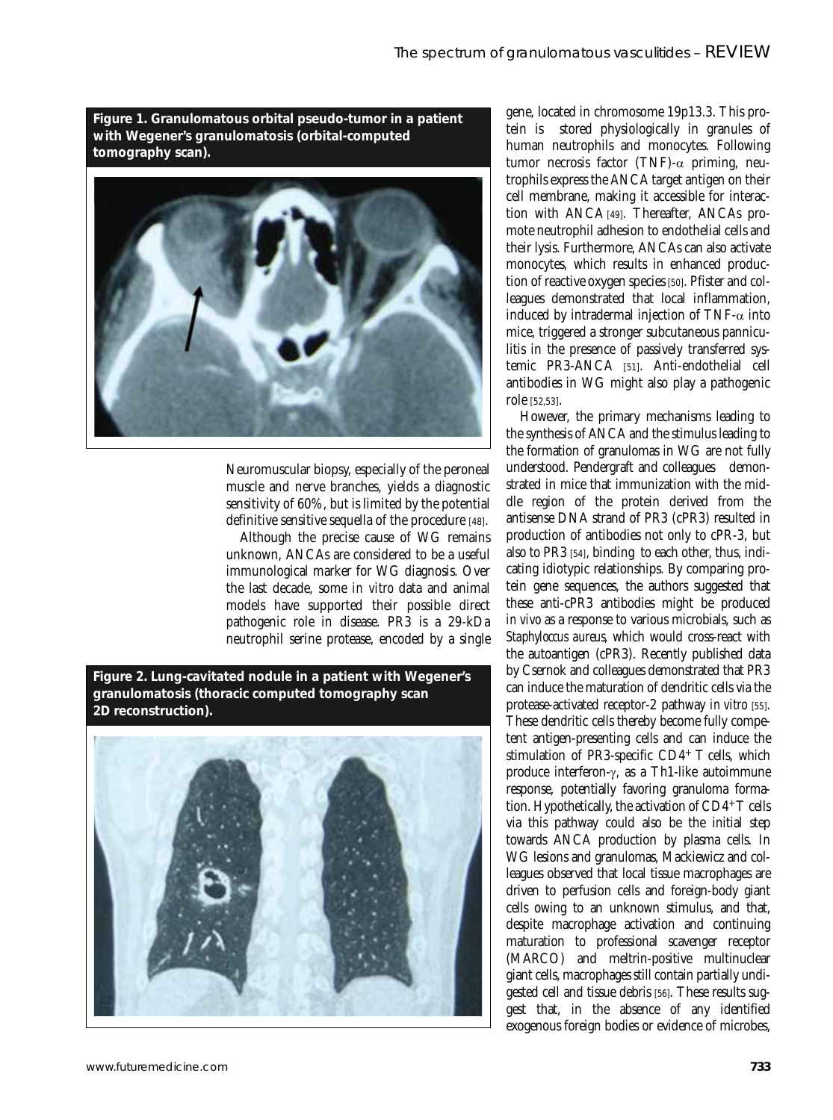**Figure 1. Granulomatous orbital pseudo-tumor in a patient with Wegener's granulomatosis (orbital-computed tomography scan).**



Neuromuscular biopsy, especially of the peroneal muscle and nerve branches, yields a diagnostic sensitivity of 60%, but is limited by the potential definitive sensitive sequella of the procedure [48].

Although the precise cause of WG remains unknown, ANCAs are considered to be a useful immunological marker for WG diagnosis. Over the last decade, some *in vitro* data and animal models have supported their possible direct pathogenic role in disease. PR3 is a 29-kDa neutrophil serine protease, encoded by a single

**Figure 2. Lung-cavitated nodule in a patient with Wegener's granulomatosis (thoracic computed tomography scan 2D reconstruction).**



gene, located in chromosome 19p13.3. This protein is stored physiologically in granules of human neutrophils and monocytes. Following tumor necrosis factor (TNF)-α priming, neutrophils express the ANCA target antigen on their cell membrane, making it accessible for interaction with ANCA [49]. Thereafter, ANCAs promote neutrophil adhesion to endothelial cells and their lysis. Furthermore, ANCAs can also activate monocytes, which results in enhanced production of reactive oxygen species [50]. Pfister and colleagues demonstrated that local inflammation, induced by intradermal injection of  $\text{TNF-}\alpha$  into mice, triggered a stronger subcutaneous panniculitis in the presence of passively transferred systemic PR3-ANCA [51]. Anti-endothelial cell antibodies in WG might also play a pathogenic role [52,53].

However, the primary mechanisms leading to the synthesis of ANCA and the stimulus leading to the formation of granulomas in WG are not fully understood. Pendergraft and colleagues demonstrated in mice that immunization with the middle region of the protein derived from the antisense DNA strand of PR3 (cPR3) resulted in production of antibodies not only to cPR-3, but also to PR3 [54], binding to each other, thus, indicating idiotypic relationships. By comparing protein gene sequences, the authors suggested that these anti-cPR3 antibodies might be produced *in vivo* as a response to various microbials, such as *Staphyloccus aureus*, which would cross-react with the autoantigen (cPR3). Recently published data by Csernok and colleagues demonstrated that PR3 can induce the maturation of dendritic cells via the protease-activated receptor-2 pathway *in vitro* [55]. These dendritic cells thereby become fully competent antigen-presenting cells and can induce the stimulation of PR3-specific CD4+ T cells, which produce interferon-γ, as a Th1-like autoimmune response, potentially favoring granuloma formation. Hypothetically, the activation of CD4+ T cells via this pathway could also be the initial step towards ANCA production by plasma cells. In WG lesions and granulomas, Mackiewicz and colleagues observed that local tissue macrophages are driven to perfusion cells and foreign-body giant cells owing to an unknown stimulus, and that, despite macrophage activation and continuing maturation to professional scavenger receptor (MARCO) and meltrin-positive multinuclear giant cells, macrophages still contain partially undigested cell and tissue debris [56]. These results suggest that, in the absence of any identified exogenous foreign bodies or evidence of microbes,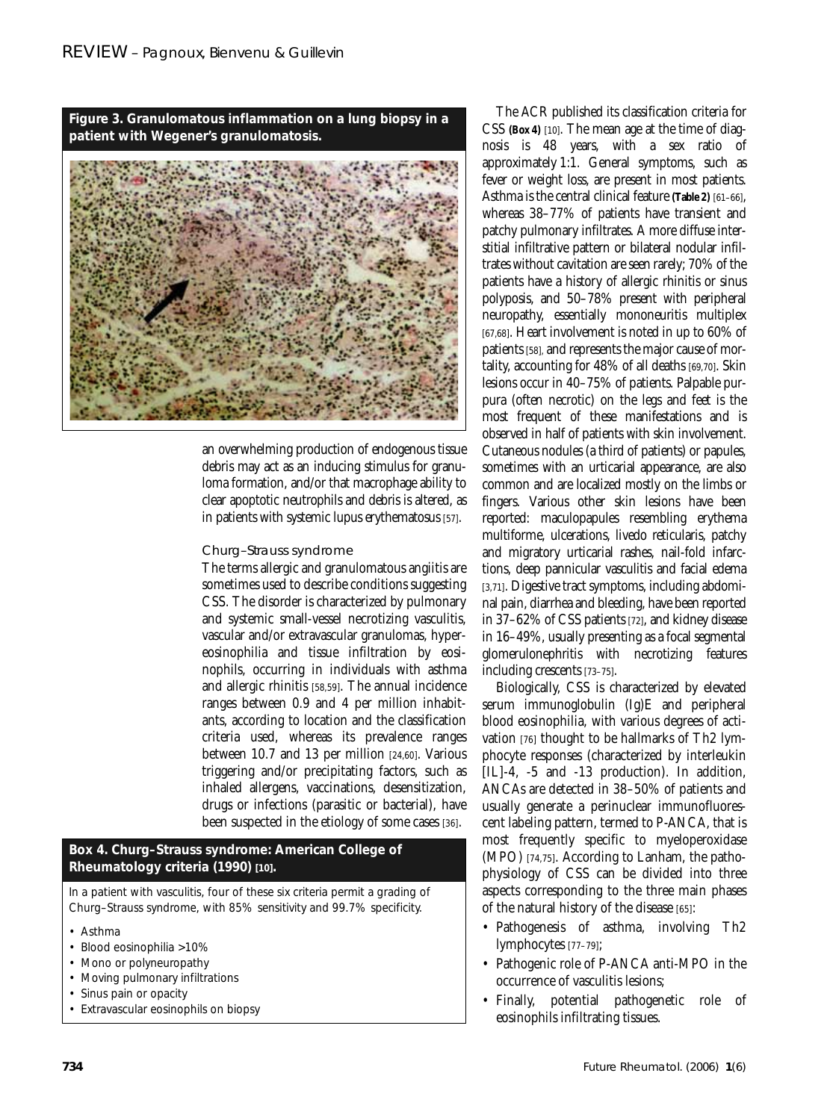**Figure 3. Granulomatous inflammation on a lung biopsy in a patient with Wegener's granulomatosis.**



an overwhelming production of endogenous tissue debris may act as an inducing stimulus for granuloma formation, and/or that macrophage ability to clear apoptotic neutrophils and debris is altered, as in patients with systemic lupus erythematosus [57].

## *Churg–Strauss syndrome*

The terms allergic and granulomatous angiitis are sometimes used to describe conditions suggesting CSS. The disorder is characterized by pulmonary and systemic small-vessel necrotizing vasculitis, vascular and/or extravascular granulomas, hypereosinophilia and tissue infiltration by eosinophils, occurring in individuals with asthma and allergic rhinitis [58,59]. The annual incidence ranges between 0.9 and 4 per million inhabitants, according to location and the classification criteria used, whereas its prevalence ranges between 10.7 and 13 per million [24,60]. Various triggering and/or precipitating factors, such as inhaled allergens, vaccinations, desensitization, drugs or infections (parasitic or bacterial), have been suspected in the etiology of some cases [36].

# **Box 4. Churg–Strauss syndrome: American College of Rheumatology criteria (1990) [10].**

In a patient with vasculitis, four of these six criteria permit a grading of Churg–Strauss syndrome, with 85% sensitivity and 99.7% specificity.

- Asthma
- Blood eosinophilia >10%
- Mono or polyneuropathy
- Moving pulmonary infiltrations
- Sinus pain or opacity
- Extravascular eosinophils on biopsy

The ACR published its classification criteria for CSS **(Box 4)** [10]. The mean age at the time of diagnosis is 48 years, with a sex ratio of approximately 1:1. General symptoms, such as fever or weight loss, are present in most patients. Asthma is the central clinical feature **(Table 2)** [61–66], whereas 38–77% of patients have transient and patchy pulmonary infiltrates. A more diffuse interstitial infiltrative pattern or bilateral nodular infiltrates without cavitation are seen rarely; 70% of the patients have a history of allergic rhinitis or sinus polyposis, and 50–78% present with peripheral neuropathy, essentially mononeuritis multiplex [67,68]. Heart involvement is noted in up to 60% of patients [58], and represents the major cause of mortality, accounting for 48% of all deaths [69,70]. Skin lesions occur in 40–75% of patients. Palpable purpura (often necrotic) on the legs and feet is the most frequent of these manifestations and is observed in half of patients with skin involvement. Cutaneous nodules (a third of patients) or papules, sometimes with an urticarial appearance, are also common and are localized mostly on the limbs or fingers. Various other skin lesions have been reported: maculopapules resembling erythema multiforme, ulcerations, livedo reticularis, patchy and migratory urticarial rashes, nail-fold infarctions, deep pannicular vasculitis and facial edema [3,71]. Digestive tract symptoms, including abdominal pain, diarrhea and bleeding, have been reported in 37–62% of CSS patients [72], and kidney disease in 16–49%, usually presenting as a focal segmental glomerulonephritis with necrotizing features including crescents [73–75].

Biologically, CSS is characterized by elevated serum immunoglobulin (Ig)E and peripheral blood eosinophilia, with various degrees of activation [76] thought to be hallmarks of Th2 lymphocyte responses (characterized by interleukin [IL]-4, -5 and -13 production). In addition, ANCAs are detected in 38–50% of patients and usually generate a perinuclear immunofluorescent labeling pattern, termed to P-ANCA, that is most frequently specific to myeloperoxidase (MPO) [74,75]. According to Lanham, the pathophysiology of CSS can be divided into three aspects corresponding to the three main phases of the natural history of the disease [65]:

- Pathogenesis of asthma, involving Th2 lymphocytes [77–79];
- Pathogenic role of P-ANCA anti-MPO in the occurrence of vasculitis lesions;
- Finally, potential pathogenetic role of eosinophils infiltrating tissues.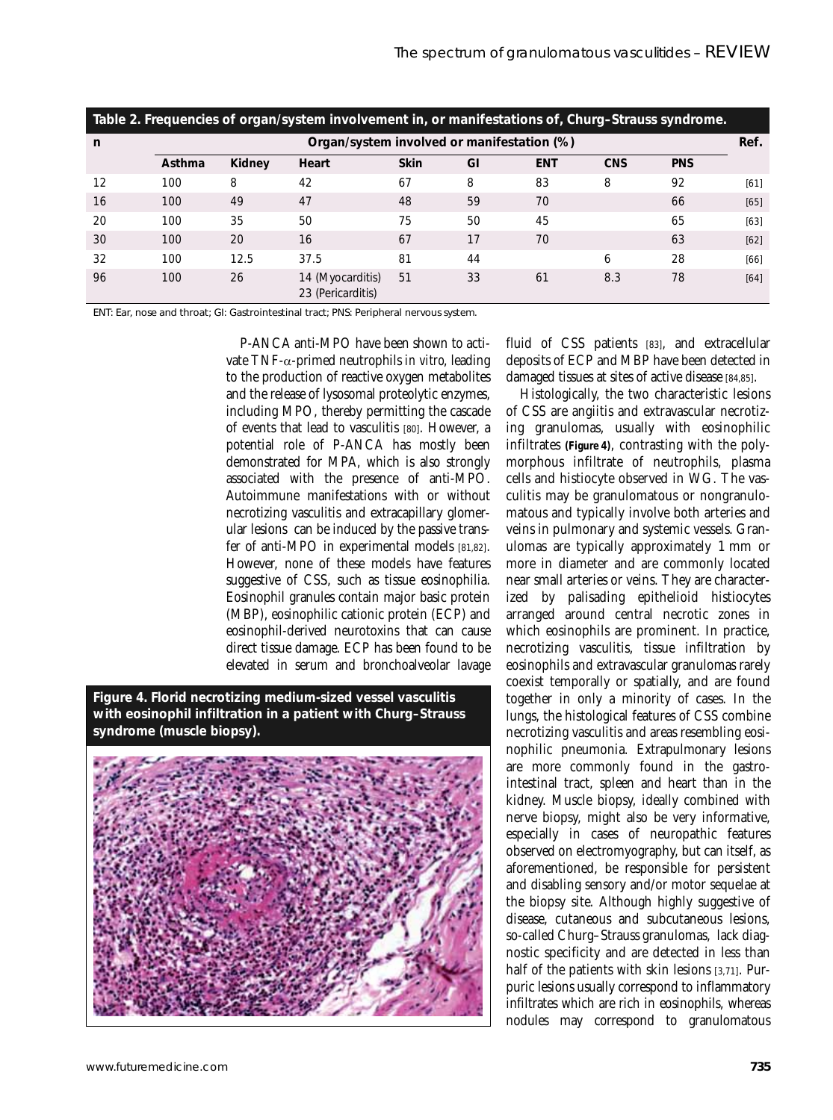| Table 2. Frequencies of organ/system involvement in, or manifestations of, Churg-Strauss syndrome. |        |        |                                       |             |    |            |            |            |      |
|----------------------------------------------------------------------------------------------------|--------|--------|---------------------------------------|-------------|----|------------|------------|------------|------|
| Organ/system involved or manifestation (%)<br>n                                                    |        |        |                                       |             |    |            |            |            | Ref. |
|                                                                                                    | Asthma | Kidney | Heart                                 | <b>Skin</b> | GI | <b>ENT</b> | <b>CNS</b> | <b>PNS</b> |      |
| 12                                                                                                 | 100    | 8      | 42                                    | 67          | 8  | 83         | 8          | 92         | [61] |
| 16                                                                                                 | 100    | 49     | 47                                    | 48          | 59 | 70         |            | 66         | [65] |
| 20                                                                                                 | 100    | 35     | 50                                    | 75          | 50 | 45         |            | 65         | [63] |
| 30                                                                                                 | 100    | 20     | 16                                    | 67          | 17 | 70         |            | 63         | [62] |
| 32                                                                                                 | 100    | 12.5   | 37.5                                  | 81          | 44 |            | 6          | 28         | [66] |
| 96                                                                                                 | 100    | 26     | 14 (Myocarditis)<br>23 (Pericarditis) | 51          | 33 | 61         | 8.3        | 78         | [64] |

*ENT: Ear, nose and throat; GI: Gastrointestinal tract; PNS: Peripheral nervous system.*

P-ANCA anti-MPO have been shown to activate TNF-α-primed neutrophils *in vitro*, leading to the production of reactive oxygen metabolites and the release of lysosomal proteolytic enzymes, including MPO, thereby permitting the cascade of events that lead to vasculitis [80]. However, a potential role of P-ANCA has mostly been demonstrated for MPA, which is also strongly associated with the presence of anti-MPO. Autoimmune manifestations with or without necrotizing vasculitis and extracapillary glomerular lesions can be induced by the passive transfer of anti-MPO in experimental models [81,82]. However, none of these models have features suggestive of CSS, such as tissue eosinophilia. Eosinophil granules contain major basic protein (MBP), eosinophilic cationic protein (ECP) and eosinophil-derived neurotoxins that can cause direct tissue damage. ECP has been found to be elevated in serum and bronchoalveolar lavage

**Figure 4. Florid necrotizing medium-sized vessel vasculitis with eosinophil infiltration in a patient with Churg–Strauss syndrome (muscle biopsy).**



fluid of CSS patients [83], and extracellular deposits of ECP and MBP have been detected in damaged tissues at sites of active disease [84,85].

Histologically, the two characteristic lesions of CSS are angiitis and extravascular necrotizing granulomas, usually with eosinophilic infiltrates **(Figure 4)**, contrasting with the polymorphous infiltrate of neutrophils, plasma cells and histiocyte observed in WG. The vasculitis may be granulomatous or nongranulomatous and typically involve both arteries and veins in pulmonary and systemic vessels. Granulomas are typically approximately 1 mm or more in diameter and are commonly located near small arteries or veins. They are characterized by palisading epithelioid histiocytes arranged around central necrotic zones in which eosinophils are prominent. In practice, necrotizing vasculitis, tissue infiltration by eosinophils and extravascular granulomas rarely coexist temporally or spatially, and are found together in only a minority of cases. In the lungs, the histological features of CSS combine necrotizing vasculitis and areas resembling eosinophilic pneumonia. Extrapulmonary lesions are more commonly found in the gastrointestinal tract, spleen and heart than in the kidney. Muscle biopsy, ideally combined with nerve biopsy, might also be very informative, especially in cases of neuropathic features observed on electromyography, but can itself, as aforementioned, be responsible for persistent and disabling sensory and/or motor sequelae at the biopsy site. Although highly suggestive of disease, cutaneous and subcutaneous lesions, so-called Churg–Strauss granulomas, lack diagnostic specificity and are detected in less than half of the patients with skin lesions [3,71]. Purpuric lesions usually correspond to inflammatory infiltrates which are rich in eosinophils, whereas nodules may correspond to granulomatous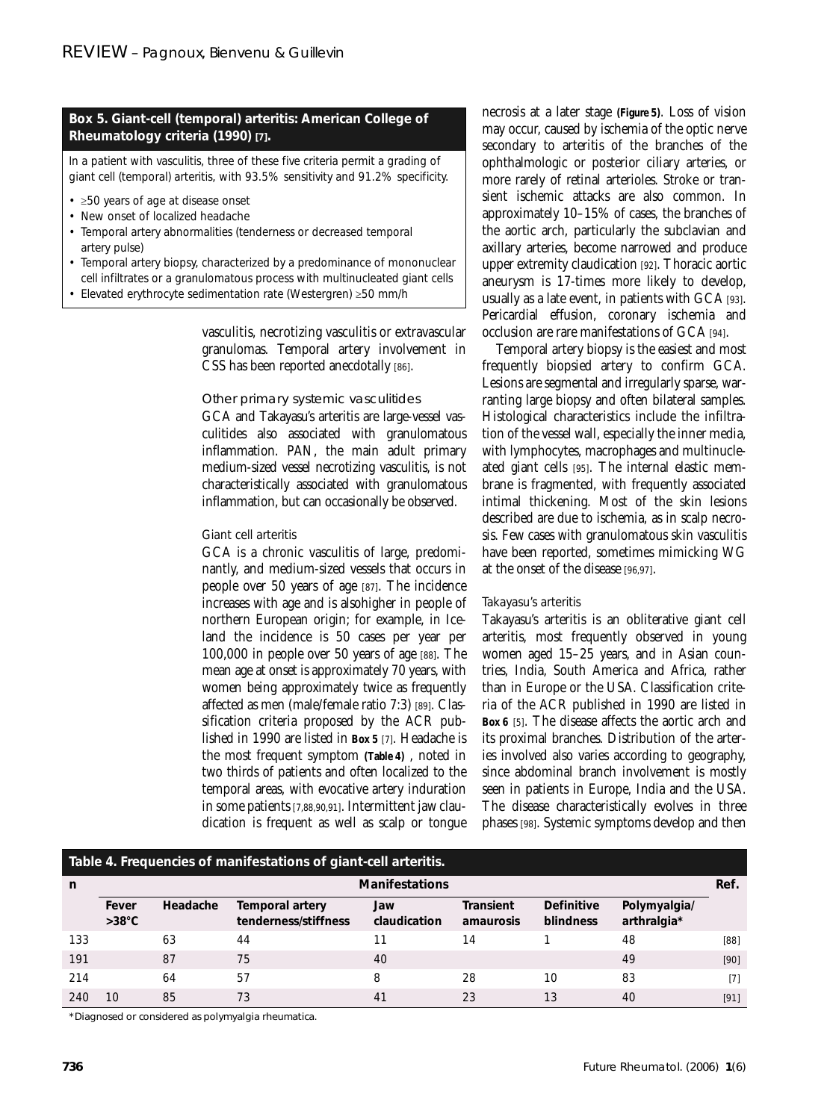# **Box 5. Giant-cell (temporal) arteritis: American College of Rheumatology criteria (1990) [7].**

In a patient with vasculitis, three of these five criteria permit a grading of giant cell (temporal) arteritis, with 93.5% sensitivity and 91.2% specificity.

- ≥50 years of age at disease onset
- New onset of localized headache
- Temporal artery abnormalities (tenderness or decreased temporal artery pulse)
- Temporal artery biopsy, characterized by a predominance of mononuclear cell infiltrates or a granulomatous process with multinucleated giant cells
- Elevated erythrocyte sedimentation rate (Westergren) ≥50 mm/h

vasculitis, necrotizing vasculitis or extravascular granulomas. Temporal artery involvement in CSS has been reported anecdotally [86].

## *Other primary systemic vasculitides*

GCA and Takayasu's arteritis are large-vessel vasculitides also associated with granulomatous inflammation. PAN, the main adult primary medium-sized vessel necrotizing vasculitis, is not characteristically associated with granulomatous inflammation, but can occasionally be observed.

## Giant cell arteritis

GCA is a chronic vasculitis of large, predominantly, and medium-sized vessels that occurs in people over 50 years of age [87]. The incidence increases with age and is alsohigher in people of northern European origin; for example, in Iceland the incidence is 50 cases per year per 100,000 in people over 50 years of age [88]. The mean age at onset is approximately 70 years, with women being approximately twice as frequently affected as men (male/female ratio 7:3) [89]. Classification criteria proposed by the ACR published in 1990 are listed in **Box 5** [7]. Headache is the most frequent symptom **(Table 4)** , noted in two thirds of patients and often localized to the temporal areas, with evocative artery induration in some patients [7,88,90,91]. Intermittent jaw claudication is frequent as well as scalp or tongue

necrosis at a later stage **(Figure 5)**. Loss of vision may occur, caused by ischemia of the optic nerve secondary to arteritis of the branches of the ophthalmologic or posterior ciliary arteries, or more rarely of retinal arterioles. Stroke or transient ischemic attacks are also common. In approximately 10–15% of cases, the branches of the aortic arch, particularly the subclavian and axillary arteries, become narrowed and produce upper extremity claudication [92]. Thoracic aortic aneurysm is 17-times more likely to develop, usually as a late event, in patients with GCA [93]. Pericardial effusion, coronary ischemia and occlusion are rare manifestations of GCA [94].

Temporal artery biopsy is the easiest and most frequently biopsied artery to confirm GCA. Lesions are segmental and irregularly sparse, warranting large biopsy and often bilateral samples. Histological characteristics include the infiltration of the vessel wall, especially the inner media, with lymphocytes, macrophages and multinucleated giant cells [95]. The internal elastic membrane is fragmented, with frequently associated intimal thickening. Most of the skin lesions described are due to ischemia, as in scalp necrosis. Few cases with granulomatous skin vasculitis have been reported, sometimes mimicking WG at the onset of the disease [96,97].

## Takayasu's arteritis

Takayasu's arteritis is an obliterative giant cell arteritis, most frequently observed in young women aged 15–25 years, and in Asian countries, India, South America and Africa, rather than in Europe or the USA. Classification criteria of the ACR published in 1990 are listed in **Box 6** [5]. The disease affects the aortic arch and its proximal branches. Distribution of the arteries involved also varies according to geography, since abdominal branch involvement is mostly seen in patients in Europe, India and the USA. The disease characteristically evolves in three phases [98]. Systemic symptoms develop and then

| Table 4. Frequencies of manifestations of giant-cell arteritis. |                         |          |                                         |                     |                               |                                |                             |        |  |  |
|-----------------------------------------------------------------|-------------------------|----------|-----------------------------------------|---------------------|-------------------------------|--------------------------------|-----------------------------|--------|--|--|
| n                                                               | <b>Manifestations</b>   |          |                                         |                     |                               |                                |                             |        |  |  |
|                                                                 | Fever<br>$>38^{\circ}C$ | Headache | Temporal artery<br>tenderness/stiffness | Jaw<br>claudication | <b>Transient</b><br>amaurosis | <b>Definitive</b><br>blindness | Polymyalgia/<br>arthralgia* |        |  |  |
| 133                                                             |                         | 63       | 44                                      |                     | 14                            |                                | 48                          | [88]   |  |  |
| 191                                                             |                         | 87       | 75                                      | 40                  |                               |                                | 49                          | [90]   |  |  |
| 214                                                             |                         | 64       | 57                                      | 8                   | 28                            | 10                             | 83                          | [7]    |  |  |
| 240                                                             | 10                      | 85       | 73                                      | 41                  | 23                            | 13                             | 40                          | $[91]$ |  |  |

*\*Diagnosed or considered as polymyalgia rheumatica.*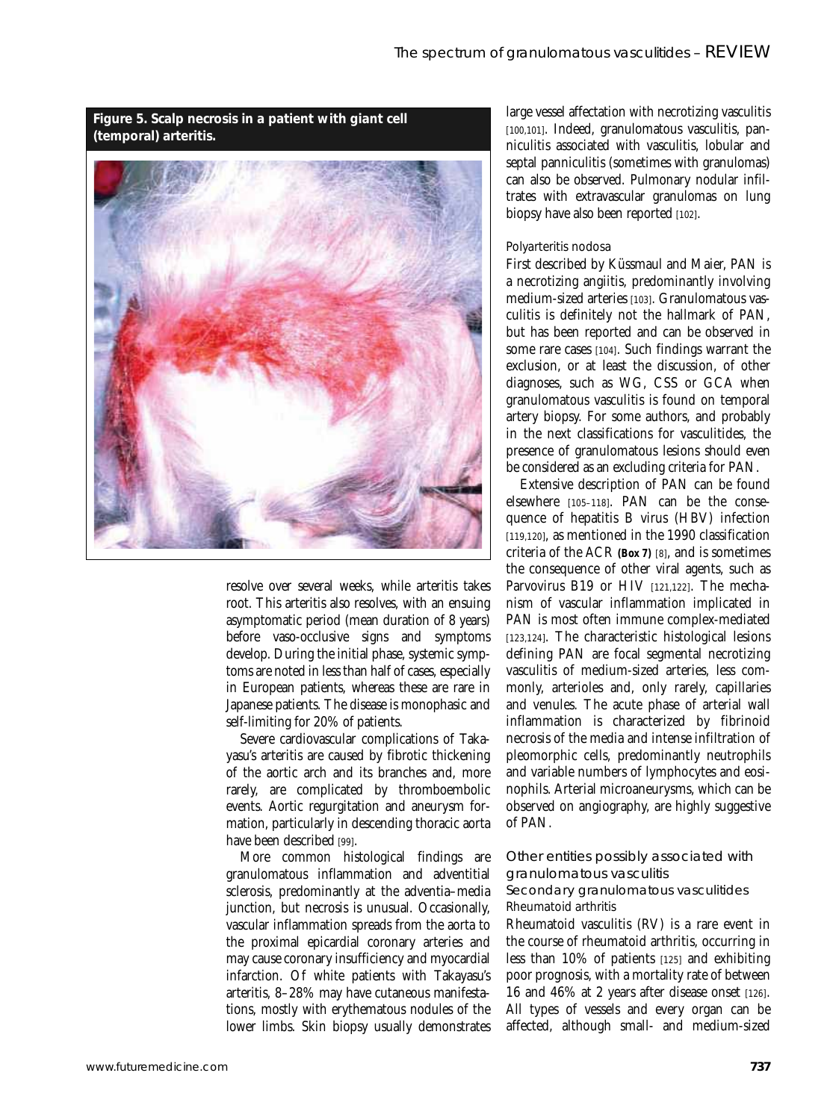# **Figure 5. Scalp necrosis in a patient with giant cell (temporal) arteritis.**



resolve over several weeks, while arteritis takes root. This arteritis also resolves, with an ensuing asymptomatic period (mean duration of 8 years) before vaso-occlusive signs and symptoms develop. During the initial phase, systemic symptoms are noted in less than half of cases, especially in European patients, whereas these are rare in Japanese patients. The disease is monophasic and self-limiting for 20% of patients.

Severe cardiovascular complications of Takayasu's arteritis are caused by fibrotic thickening of the aortic arch and its branches and, more rarely, are complicated by thromboembolic events. Aortic regurgitation and aneurysm formation, particularly in descending thoracic aorta have been described [99].

More common histological findings are granulomatous inflammation and adventitial sclerosis, predominantly at the adventia–media junction, but necrosis is unusual. Occasionally, vascular inflammation spreads from the aorta to the proximal epicardial coronary arteries and may cause coronary insufficiency and myocardial infarction. Of white patients with Takayasu's arteritis, 8–28% may have cutaneous manifestations, mostly with erythematous nodules of the lower limbs. Skin biopsy usually demonstrates

large vessel affectation with necrotizing vasculitis [100,101]. Indeed, granulomatous vasculitis, panniculitis associated with vasculitis, lobular and septal panniculitis (sometimes with granulomas) can also be observed. Pulmonary nodular infiltrates with extravascular granulomas on lung biopsy have also been reported [102].

## Polyarteritis nodosa

First described by Küssmaul and Maier, PAN is a necrotizing angiitis, predominantly involving medium-sized arteries [103]. Granulomatous vasculitis is definitely not the hallmark of PAN, but has been reported and can be observed in some rare cases [104]. Such findings warrant the exclusion, or at least the discussion, of other diagnoses, such as WG, CSS or GCA when granulomatous vasculitis is found on temporal artery biopsy. For some authors, and probably in the next classifications for vasculitides, the presence of granulomatous lesions should even be considered as an excluding criteria for PAN.

Extensive description of PAN can be found elsewhere [105–118]. PAN can be the consequence of hepatitis B virus (HBV) infection [119,120], as mentioned in the 1990 classification criteria of the ACR **(Box 7)** [8], and is sometimes the consequence of other viral agents, such as Parvovirus B19 or HIV [121,122]. The mechanism of vascular inflammation implicated in PAN is most often immune complex-mediated [123,124]. The characteristic histological lesions defining PAN are focal segmental necrotizing vasculitis of medium-sized arteries, less commonly, arterioles and, only rarely, capillaries and venules. The acute phase of arterial wall inflammation is characterized by fibrinoid necrosis of the media and intense infiltration of pleomorphic cells, predominantly neutrophils and variable numbers of lymphocytes and eosinophils. Arterial microaneurysms, which can be observed on angiography, are highly suggestive of PAN.

Other entities possibly associated with granulomatous vasculitis

# *Secondary granulomatous vasculitides*  Rheumatoid arthritis

Rheumatoid vasculitis (RV) is a rare event in the course of rheumatoid arthritis, occurring in less than 10% of patients [125] and exhibiting poor prognosis, with a mortality rate of between  $16$  and  $46\%$  at 2 years after disease onset [126]. All types of vessels and every organ can be affected, although small- and medium-sized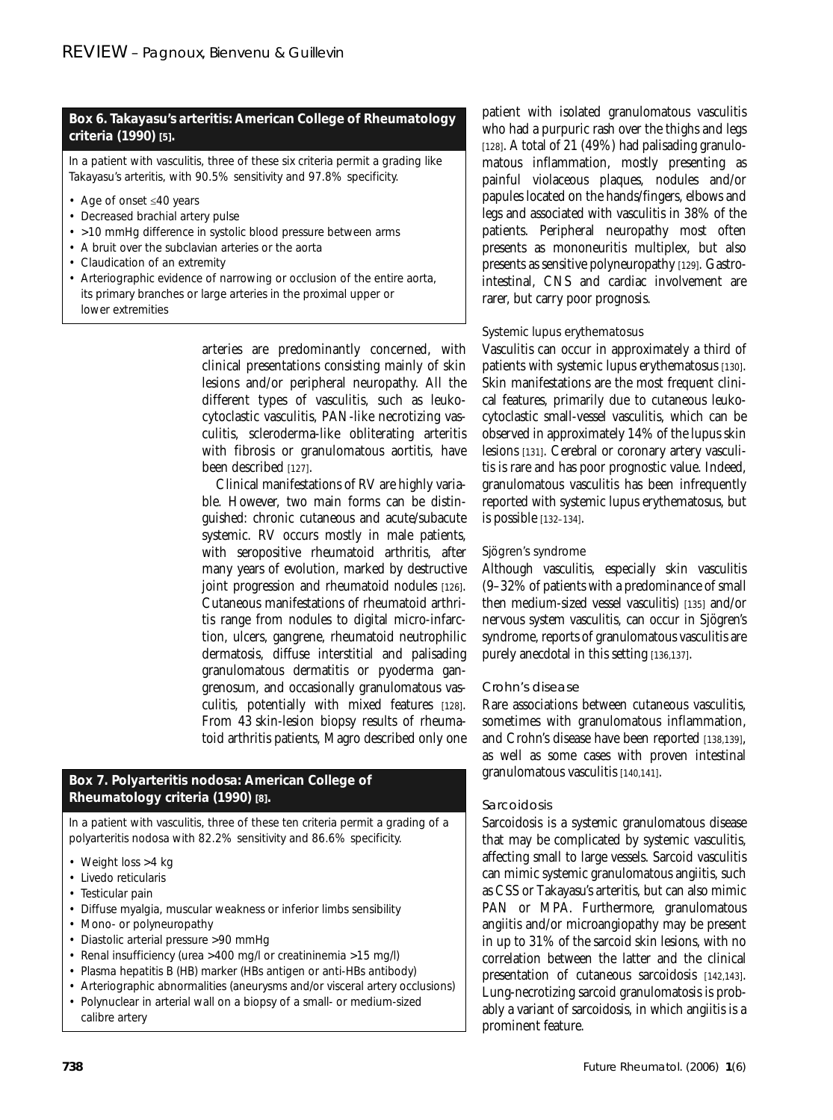# **Box 6. Takayasu's arteritis: American College of Rheumatology criteria (1990) [5].**

In a patient with vasculitis, three of these six criteria permit a grading like Takayasu's arteritis, with 90.5% sensitivity and 97.8% specificity.

- Age of onset ≤40 years
- Decreased brachial artery pulse
- > 10 mmHg difference in systolic blood pressure between arms
- A bruit over the subclavian arteries or the aorta
- Claudication of an extremity
- Arteriographic evidence of narrowing or occlusion of the entire aorta, its primary branches or large arteries in the proximal upper or lower extremities

arteries are predominantly concerned, with clinical presentations consisting mainly of skin lesions and/or peripheral neuropathy. All the different types of vasculitis, such as leukocytoclastic vasculitis, PAN-like necrotizing vasculitis, scleroderma-like obliterating arteritis with fibrosis or granulomatous aortitis, have been described [127].

Clinical manifestations of RV are highly variable. However, two main forms can be distinguished: chronic cutaneous and acute/subacute systemic. RV occurs mostly in male patients, with seropositive rheumatoid arthritis, after many years of evolution, marked by destructive joint progression and rheumatoid nodules [126]. Cutaneous manifestations of rheumatoid arthritis range from nodules to digital micro-infarction, ulcers, gangrene, rheumatoid neutrophilic dermatosis, diffuse interstitial and palisading granulomatous dermatitis or pyoderma gangrenosum, and occasionally granulomatous vasculitis, potentially with mixed features [128]. From 43 skin-lesion biopsy results of rheumatoid arthritis patients, Magro described only one

# **Box 7. Polyarteritis nodosa: American College of Rheumatology criteria (1990) [8].**

In a patient with vasculitis, three of these ten criteria permit a grading of a polyarteritis nodosa with 82.2% sensitivity and 86.6% specificity.

- Weight loss >4 kg
- Livedo reticularis
- Testicular pain
- Diffuse myalgia, muscular weakness or inferior limbs sensibility
- Mono- or polyneuropathy
- Diastolic arterial pressure >90 mmHg
- Renal insufficiency (urea >400 mg/l or creatininemia >15 mg/l)
- Plasma hepatitis B (HB) marker (HBs antigen or anti-HBs antibody)
- Arteriographic abnormalities (aneurysms and/or visceral artery occlusions)
- Polynuclear in arterial wall on a biopsy of a small- or medium-sized calibre artery

patient with isolated granulomatous vasculitis who had a purpuric rash over the thighs and legs [128]. A total of 21 (49%) had palisading granulomatous inflammation, mostly presenting as painful violaceous plaques, nodules and/or papules located on the hands/fingers, elbows and legs and associated with vasculitis in 38% of the patients. Peripheral neuropathy most often presents as mononeuritis multiplex, but also presents as sensitive polyneuropathy [129]. Gastrointestinal, CNS and cardiac involvement are rarer, but carry poor prognosis.

## Systemic lupus erythematosus

Vasculitis can occur in approximately a third of patients with systemic lupus erythematosus [130]. Skin manifestations are the most frequent clinical features, primarily due to cutaneous leukocytoclastic small-vessel vasculitis, which can be observed in approximately 14% of the lupus skin lesions [131]. Cerebral or coronary artery vasculitis is rare and has poor prognostic value. Indeed, granulomatous vasculitis has been infrequently reported with systemic lupus erythematosus, but is possible [132–134].

## Sjögren's syndrome

Although vasculitis, especially skin vasculitis (9–32% of patients with a predominance of small then medium-sized vessel vasculitis) [135] and/or nervous system vasculitis, can occur in Sjögren's syndrome, reports of granulomatous vasculitis are purely anecdotal in this setting [136,137].

## *Crohn's disease*

Rare associations between cutaneous vasculitis, sometimes with granulomatous inflammation, and Crohn's disease have been reported [138,139], as well as some cases with proven intestinal granulomatous vasculitis [140,141].

## *Sarcoidosis*

Sarcoidosis is a systemic granulomatous disease that may be complicated by systemic vasculitis, affecting small to large vessels. Sarcoid vasculitis can mimic systemic granulomatous angiitis, such as CSS or Takayasu's arteritis, but can also mimic PAN or MPA. Furthermore, granulomatous angiitis and/or microangiopathy may be present in up to 31% of the sarcoid skin lesions, with no correlation between the latter and the clinical presentation of cutaneous sarcoidosis [142,143]. Lung-necrotizing sarcoid granulomatosis is probably a variant of sarcoidosis, in which angiitis is a prominent feature.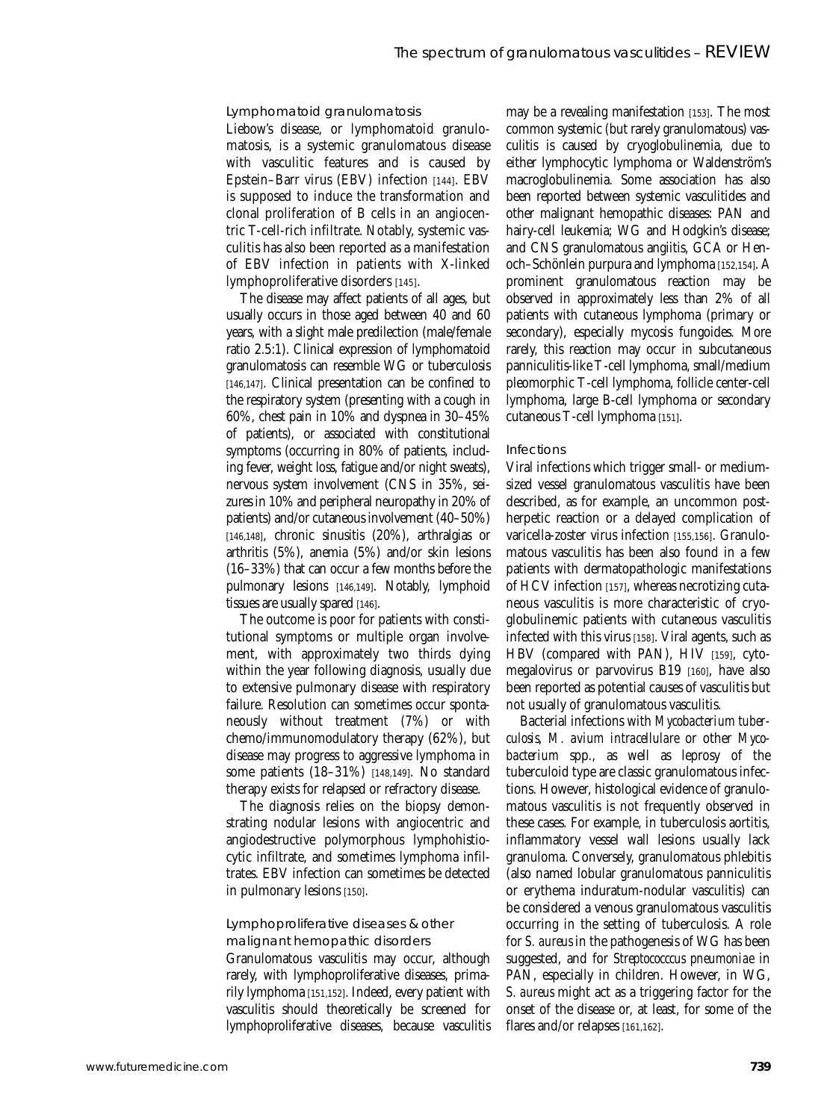## *Lymphomatoid granulomatosis*

Liebow's disease, or lymphomatoid granulomatosis, is a systemic granulomatous disease with vasculitic features and is caused by Epstein–Barr virus (EBV) infection [144]. EBV is supposed to induce the transformation and clonal proliferation of B cells in an angiocentric T-cell-rich infiltrate. Notably, systemic vasculitis has also been reported as a manifestation of EBV infection in patients with X-linked lymphoproliferative disorders [145].

The disease may affect patients of all ages, but usually occurs in those aged between 40 and 60 years, with a slight male predilection (male/female ratio 2.5:1). Clinical expression of lymphomatoid granulomatosis can resemble WG or tuberculosis [146,147]. Clinical presentation can be confined to the respiratory system (presenting with a cough in 60%, chest pain in 10% and dyspnea in 30–45% of patients), or associated with constitutional symptoms (occurring in 80% of patients, including fever, weight loss, fatigue and/or night sweats), nervous system involvement (CNS in 35%, seizures in 10% and peripheral neuropathy in 20% of patients) and/or cutaneous involvement (40–50%) [146,148], chronic sinusitis (20%), arthralgias or arthritis (5%), anemia (5%) and/or skin lesions (16–33%) that can occur a few months before the pulmonary lesions [146,149]. Notably, lymphoid tissues are usually spared [146].

The outcome is poor for patients with constitutional symptoms or multiple organ involvement, with approximately two thirds dying within the year following diagnosis, usually due to extensive pulmonary disease with respiratory failure. Resolution can sometimes occur spontaneously without treatment (7%) or with chemo/immunomodulatory therapy (62%), but disease may progress to aggressive lymphoma in some patients (18–31%) [148,149]. No standard therapy exists for relapsed or refractory disease.

The diagnosis relies on the biopsy demonstrating nodular lesions with angiocentric and angiodestructive polymorphous lymphohistiocytic infiltrate, and sometimes lymphoma infiltrates. EBV infection can sometimes be detected in pulmonary lesions [150].

# *Lymphoproliferative diseases & other malignant hemopathic disorders*

Granulomatous vasculitis may occur, although rarely, with lymphoproliferative diseases, primarily lymphoma [151,152]. Indeed, every patient with vasculitis should theoretically be screened for lymphoproliferative diseases, because vasculitis may be a revealing manifestation [153]. The most common systemic (but rarely granulomatous) vasculitis is caused by cryoglobulinemia, due to either lymphocytic lymphoma or Waldenström's macroglobulinemia. Some association has also been reported between systemic vasculitides and other malignant hemopathic diseases: PAN and hairy-cell leukemia; WG and Hodgkin's disease; and CNS granulomatous angiitis, GCA or Henoch–Schönlein purpura and lymphoma [152,154]. A prominent granulomatous reaction may be observed in approximately less than 2% of all patients with cutaneous lymphoma (primary or secondary), especially mycosis fungoides. More rarely, this reaction may occur in subcutaneous panniculitis-like T-cell lymphoma, small/medium pleomorphic T-cell lymphoma, follicle center-cell lymphoma, large B-cell lymphoma or secondary cutaneous T-cell lymphoma [151].

#### *Infections*

Viral infections which trigger small- or mediumsized vessel granulomatous vasculitis have been described, as for example, an uncommon postherpetic reaction or a delayed complication of varicella-zoster virus infection [155,156]. Granulomatous vasculitis has been also found in a few patients with dermatopathologic manifestations of HCV infection [157], whereas necrotizing cutaneous vasculitis is more characteristic of cryoglobulinemic patients with cutaneous vasculitis infected with this virus [158]. Viral agents, such as HBV (compared with PAN), HIV [159], cytomegalovirus or parvovirus B19 [160], have also been reported as potential causes of vasculitis but not usually of granulomatous vasculitis.

Bacterial infections with *Mycobacterium tuberculosis*, *M. avium intracellulare* or other *Mycobacterium* spp*.*, as well as leprosy of the tuberculoid type are classic granulomatous infections. However, histological evidence of granulomatous vasculitis is not frequently observed in these cases. For example, in tuberculosis aortitis, inflammatory vessel wall lesions usually lack granuloma. Conversely, granulomatous phlebitis (also named lobular granulomatous panniculitis or erythema induratum-nodular vasculitis) can be considered a venous granulomatous vasculitis occurring in the setting of tuberculosis. A role for *S. aureus* in the pathogenesis of WG has been suggested, and for *Streptococccus pneumoniae* in PAN, especially in children. However, in WG, *S. aureus* might act as a triggering factor for the onset of the disease or, at least, for some of the flares and/or relapses [161,162].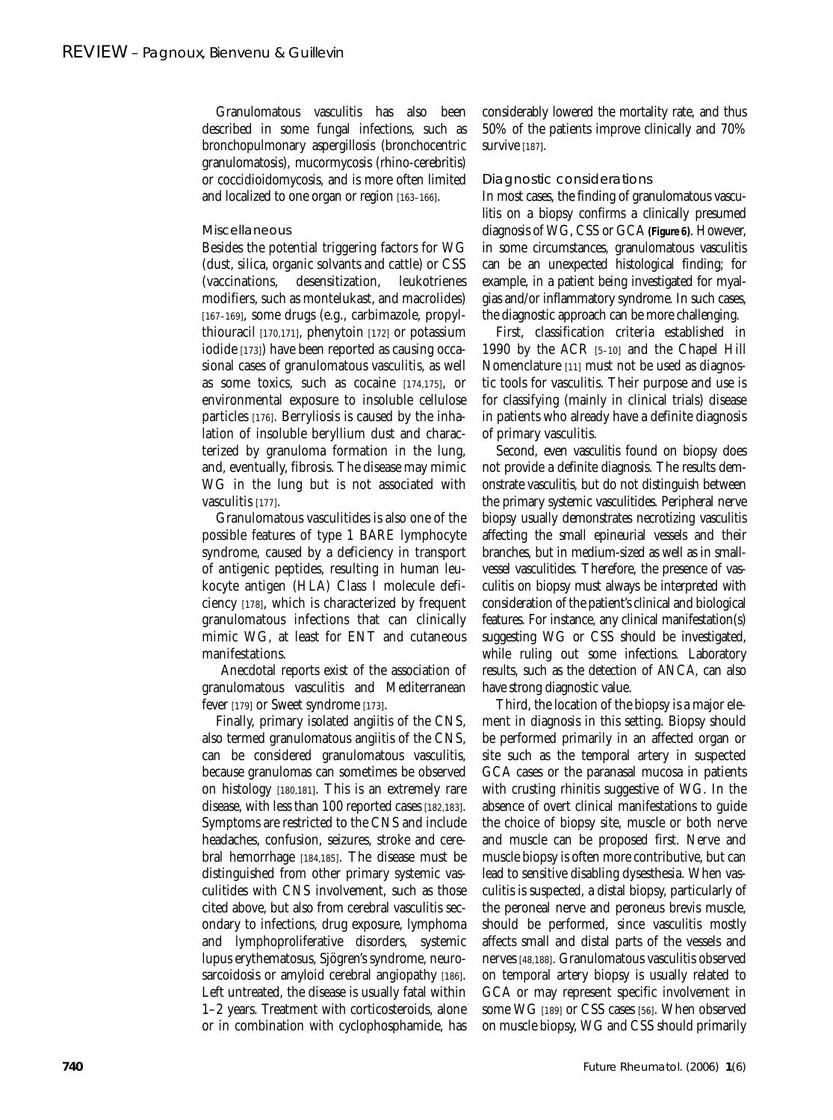Granulomatous vasculitis has also been described in some fungal infections, such as bronchopulmonary aspergillosis (bronchocentric granulomatosis), mucormycosis (rhino-cerebritis) or coccidioidomycosis, and is more often limited and localized to one organ or region [163–166].

## *Miscellaneous*

Besides the potential triggering factors for WG (dust, silica, organic solvants and cattle) or CSS (vaccinations, desensitization, leukotrienes modifiers, such as montelukast, and macrolides) [167–169], some drugs (e.g., carbimazole, propylthiouracil [170,171], phenytoin [172] or potassium iodide [173]) have been reported as causing occasional cases of granulomatous vasculitis, as well as some toxics, such as cocaine [174,175], or environmental exposure to insoluble cellulose particles [176]. Berryliosis is caused by the inhalation of insoluble beryllium dust and characterized by granuloma formation in the lung, and, eventually, fibrosis. The disease may mimic WG in the lung but is not associated with vasculitis [177].

Granulomatous vasculitides is also one of the possible features of type 1 BARE lymphocyte syndrome, caused by a deficiency in transport of antigenic peptides, resulting in human leukocyte antigen (HLA) Class I molecule deficiency [178], which is characterized by frequent granulomatous infections that can clinically mimic WG, at least for ENT and cutaneous manifestations.

 Anecdotal reports exist of the association of granulomatous vasculitis and Mediterranean fever [179] or Sweet syndrome [173].

Finally, primary isolated angiitis of the CNS, also termed granulomatous angiitis of the CNS, can be considered granulomatous vasculitis, because granulomas can sometimes be observed on histology [180,181]. This is an extremely rare disease, with less than 100 reported cases [182,183]. Symptoms are restricted to the CNS and include headaches, confusion, seizures, stroke and cerebral hemorrhage [184,185]. The disease must be distinguished from other primary systemic vasculitides with CNS involvement, such as those cited above, but also from cerebral vasculitis secondary to infections, drug exposure, lymphoma and lymphoproliferative disorders, systemic lupus erythematosus, Sjögren's syndrome, neurosarcoidosis or amyloid cerebral angiopathy [186]. Left untreated, the disease is usually fatal within 1–2 years. Treatment with corticosteroids, alone or in combination with cyclophosphamide, has

considerably lowered the mortality rate, and thus 50% of the patients improve clinically and 70% survive [187].

## Diagnostic considerations

In most cases, the finding of granulomatous vasculitis on a biopsy confirms a clinically presumed diagnosis of WG, CSS or GCA **(Figure 6)**. However, in some circumstances, granulomatous vasculitis can be an unexpected histological finding; for example, in a patient being investigated for myalgias and/or inflammatory syndrome. In such cases, the diagnostic approach can be more challenging.

First, classification criteria established in 1990 by the ACR [5–10] and the Chapel Hill Nomenclature [11] must not be used as diagnostic tools for vasculitis. Their purpose and use is for classifying (mainly in clinical trials) disease in patients who already have a definite diagnosis of primary vasculitis.

Second, even vasculitis found on biopsy does not provide a definite diagnosis. The results demonstrate vasculitis, but do not distinguish between the primary systemic vasculitides. Peripheral nerve biopsy usually demonstrates necrotizing vasculitis affecting the small epineurial vessels and their branches, but in medium-sized as well as in smallvessel vasculitides. Therefore, the presence of vasculitis on biopsy must always be interpreted with consideration of the patient's clinical and biological features. For instance, any clinical manifestation(s) suggesting WG or CSS should be investigated, while ruling out some infections. Laboratory results, such as the detection of ANCA, can also have strong diagnostic value.

Third, the location of the biopsy is a major element in diagnosis in this setting. Biopsy should be performed primarily in an affected organ or site such as the temporal artery in suspected GCA cases or the paranasal mucosa in patients with crusting rhinitis suggestive of WG. In the absence of overt clinical manifestations to guide the choice of biopsy site, muscle or both nerve and muscle can be proposed first. Nerve and muscle biopsy is often more contributive, but can lead to sensitive disabling dysesthesia. When vasculitis is suspected, a distal biopsy, particularly of the peroneal nerve and peroneus brevis muscle, should be performed, since vasculitis mostly affects small and distal parts of the vessels and nerves [48,188]. Granulomatous vasculitis observed on temporal artery biopsy is usually related to GCA or may represent specific involvement in some WG [189] or CSS cases [56]. When observed on muscle biopsy, WG and CSS should primarily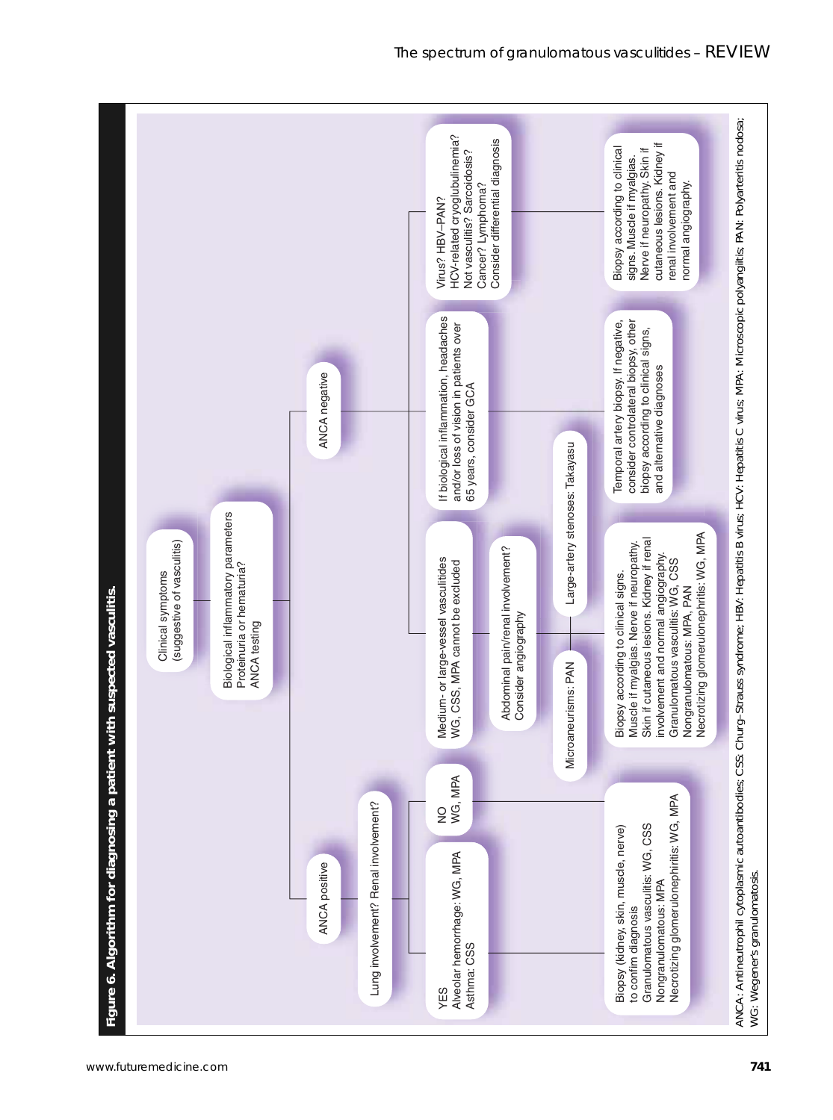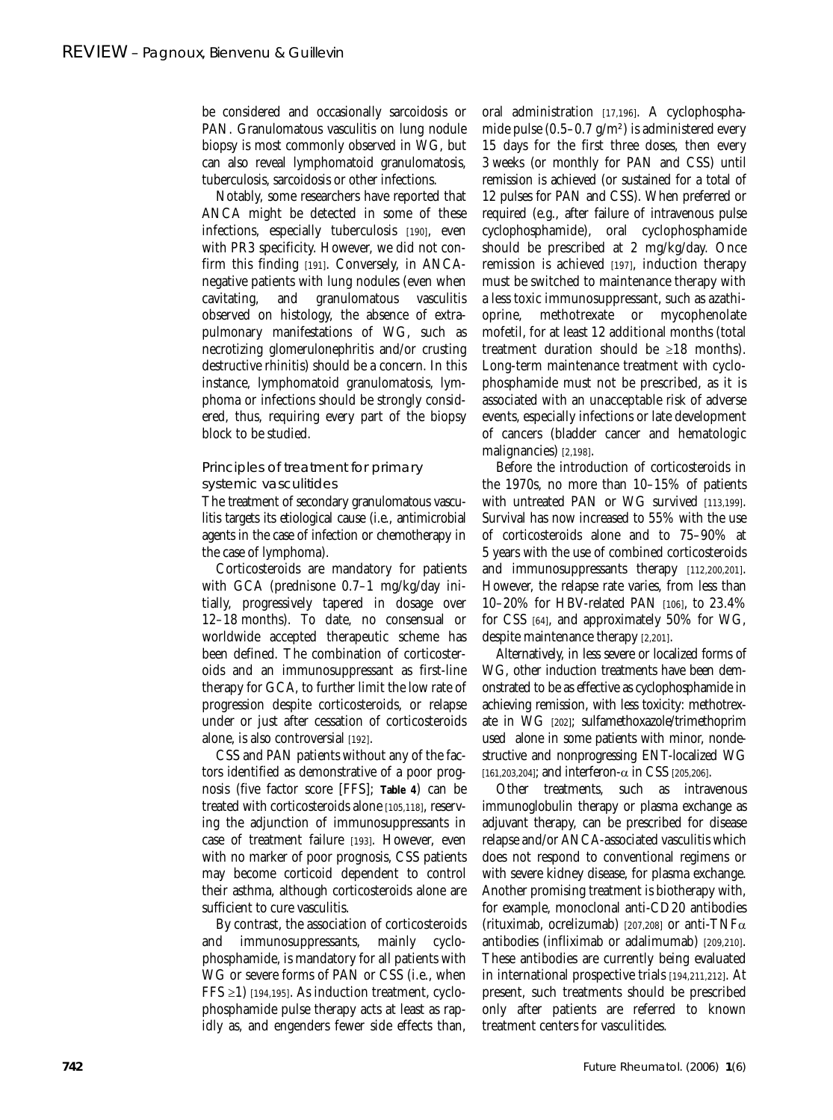be considered and occasionally sarcoidosis or PAN. Granulomatous vasculitis on lung nodule biopsy is most commonly observed in WG, but can also reveal lymphomatoid granulomatosis, tuberculosis, sarcoidosis or other infections.

Notably, some researchers have reported that ANCA might be detected in some of these infections, especially tuberculosis [190], even with PR3 specificity. However, we did not confirm this finding [191]. Conversely, in ANCAnegative patients with lung nodules (even when cavitating, and granulomatous vasculitis observed on histology, the absence of extrapulmonary manifestations of WG, such as necrotizing glomerulonephritis and/or crusting destructive rhinitis) should be a concern. In this instance, lymphomatoid granulomatosis, lymphoma or infections should be strongly considered, thus, requiring every part of the biopsy block to be studied.

## Principles of treatment for primary systemic vasculitides

The treatment of secondary granulomatous vasculitis targets its etiological cause (i.e., antimicrobial agents in the case of infection or chemotherapy in the case of lymphoma).

Corticosteroids are mandatory for patients with GCA (prednisone 0.7–1 mg/kg/day initially, progressively tapered in dosage over 12–18 months). To date, no consensual or worldwide accepted therapeutic scheme has been defined. The combination of corticosteroids and an immunosuppressant as first-line therapy for GCA, to further limit the low rate of progression despite corticosteroids, or relapse under or just after cessation of corticosteroids alone, is also controversial [192].

CSS and PAN patients without any of the factors identified as demonstrative of a poor prognosis (five factor score [FFS]; **Table 4**) can be treated with corticosteroids alone [105,118], reserving the adjunction of immunosuppressants in case of treatment failure [193]. However, even with no marker of poor prognosis, CSS patients may become corticoid dependent to control their asthma, although corticosteroids alone are sufficient to cure vasculitis.

By contrast, the association of corticosteroids and immunosuppressants, mainly cyclophosphamide, is mandatory for all patients with WG or severe forms of PAN or CSS (i.e., when FFS  $\geq$ 1) [194,195]. As induction treatment, cyclophosphamide pulse therapy acts at least as rapidly as, and engenders fewer side effects than, oral administration [17,196]. A cyclophosphamide pulse  $(0.5-0.7 \text{ g/m}^2)$  is administered every 15 days for the first three doses, then every 3 weeks (or monthly for PAN and CSS) until remission is achieved (or sustained for a total of 12 pulses for PAN and CSS). When preferred or required (e.g., after failure of intravenous pulse cyclophosphamide), oral cyclophosphamide should be prescribed at 2 mg/kg/day. Once remission is achieved [197], induction therapy must be switched to maintenance therapy with a less toxic immunosuppressant, such as azathioprine, methotrexate or mycophenolate mofetil, for at least 12 additional months (total treatment duration should be ≥18 months). Long-term maintenance treatment with cyclophosphamide must not be prescribed, as it is associated with an unacceptable risk of adverse events, especially infections or late development of cancers (bladder cancer and hematologic malignancies) [2,198].

Before the introduction of corticosteroids in the 1970s, no more than 10–15% of patients with untreated PAN or WG survived [113,199]. Survival has now increased to 55% with the use of corticosteroids alone and to 75–90% at 5 years with the use of combined corticosteroids and immunosuppressants therapy [112,200,201]. However, the relapse rate varies, from less than 10–20% for HBV-related PAN [106], to 23.4% for CSS [64], and approximately 50% for WG, despite maintenance therapy [2,201].

Alternatively, in less severe or localized forms of WG, other induction treatments have been demonstrated to be as effective as cyclophosphamide in achieving remission, with less toxicity: methotrexate in WG [202]; sulfamethoxazole/trimethoprim used alone in some patients with minor, nondestructive and nonprogressing ENT-localized WG [161,203,204]; and interferon-α in CSS [205,206].

Other treatments, such as intravenous immunoglobulin therapy or plasma exchange as adjuvant therapy, can be prescribed for disease relapse and/or ANCA-associated vasculitis which does not respond to conventional regimens or with severe kidney disease, for plasma exchange. Another promising treatment is biotherapy with, for example, monoclonal anti-CD20 antibodies (rituximab, ocrelizumab) [207,208] or anti-TNF $\alpha$ antibodies (infliximab or adalimumab) [209,210]. These antibodies are currently being evaluated in international prospective trials [194,211,212]. At present, such treatments should be prescribed only after patients are referred to known treatment centers for vasculitides.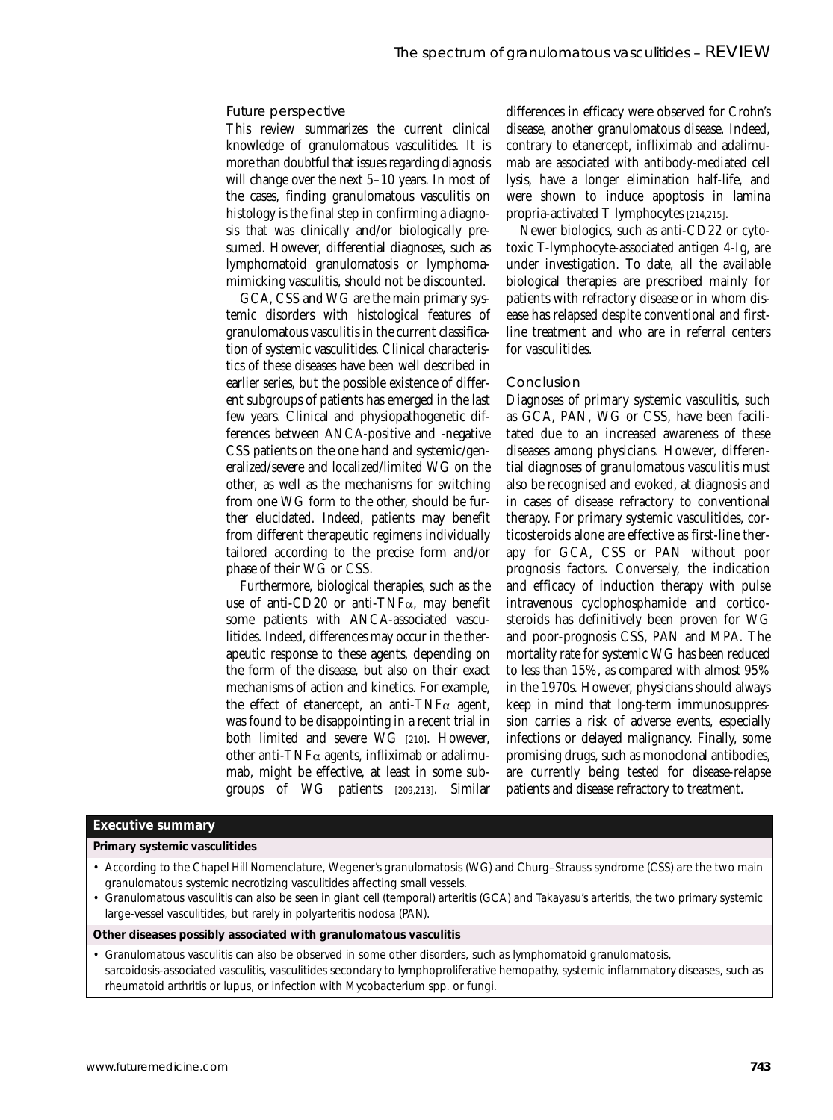## Future perspective

This review summarizes the current clinical knowledge of granulomatous vasculitides. It is more than doubtful that issues regarding diagnosis will change over the next 5–10 years. In most of the cases, finding granulomatous vasculitis on histology is the final step in confirming a diagnosis that was clinically and/or biologically presumed. However, differential diagnoses, such as lymphomatoid granulomatosis or lymphomamimicking vasculitis, should not be discounted.

GCA, CSS and WG are the main primary systemic disorders with histological features of granulomatous vasculitis in the current classification of systemic vasculitides. Clinical characteristics of these diseases have been well described in earlier series, but the possible existence of different subgroups of patients has emerged in the last few years. Clinical and physiopathogenetic differences between ANCA-positive and -negative CSS patients on the one hand and systemic/generalized/severe and localized/limited WG on the other, as well as the mechanisms for switching from one WG form to the other, should be further elucidated. Indeed, patients may benefit from different therapeutic regimens individually tailored according to the precise form and/or phase of their WG or CSS.

Furthermore, biological therapies, such as the use of anti-CD20 or anti-TNF $\alpha$ , may benefit some patients with ANCA-associated vasculitides. Indeed, differences may occur in the therapeutic response to these agents, depending on the form of the disease, but also on their exact mechanisms of action and kinetics. For example, the effect of etanercept, an anti-TNF $\alpha$  agent, was found to be disappointing in a recent trial in both limited and severe WG [210]. However, other anti-TNF $\alpha$  agents, infliximab or adalimumab, might be effective, at least in some subgroups of WG patients [209,213]. Similar

differences in efficacy were observed for Crohn's disease, another granulomatous disease. Indeed, contrary to etanercept, infliximab and adalimumab are associated with antibody-mediated cell lysis, have a longer elimination half-life, and were shown to induce apoptosis in lamina propria-activated T lymphocytes [214,215].

Newer biologics, such as anti-CD22 or cytotoxic T-lymphocyte-associated antigen 4-Ig, are under investigation. To date, all the available biological therapies are prescribed mainly for patients with refractory disease or in whom disease has relapsed despite conventional and firstline treatment and who are in referral centers for vasculitides.

## Conclusion

Diagnoses of primary systemic vasculitis, such as GCA, PAN, WG or CSS, have been facilitated due to an increased awareness of these diseases among physicians. However, differential diagnoses of granulomatous vasculitis must also be recognised and evoked, at diagnosis and in cases of disease refractory to conventional therapy. For primary systemic vasculitides, corticosteroids alone are effective as first-line therapy for GCA, CSS or PAN without poor prognosis factors. Conversely, the indication and efficacy of induction therapy with pulse intravenous cyclophosphamide and corticosteroids has definitively been proven for WG and poor-prognosis CSS, PAN and MPA. The mortality rate for systemic WG has been reduced to less than 15%, as compared with almost 95% in the 1970s. However, physicians should always keep in mind that long-term immunosuppression carries a risk of adverse events, especially infections or delayed malignancy. Finally, some promising drugs, such as monoclonal antibodies, are currently being tested for disease-relapse patients and disease refractory to treatment.

#### **Executive summary**

#### *Primary systemic vasculitides*

- According to the Chapel Hill Nomenclature, Wegener's granulomatosis (WG) and Churg–Strauss syndrome (CSS) are the two main granulomatous systemic necrotizing vasculitides affecting small vessels.
- Granulomatous vasculitis can also be seen in giant cell (temporal) arteritis (GCA) and Takayasu's arteritis, the two primary systemic large-vessel vasculitides, but rarely in polyarteritis nodosa (PAN).

#### *Other diseases possibly associated with granulomatous vasculitis*

• Granulomatous vasculitis can also be observed in some other disorders, such as lymphomatoid granulomatosis, sarcoidosis-associated vasculitis, vasculitides secondary to lymphoproliferative hemopathy, systemic inflammatory diseases, such as rheumatoid arthritis or lupus, or infection with *Mycobacterium* spp. or fungi.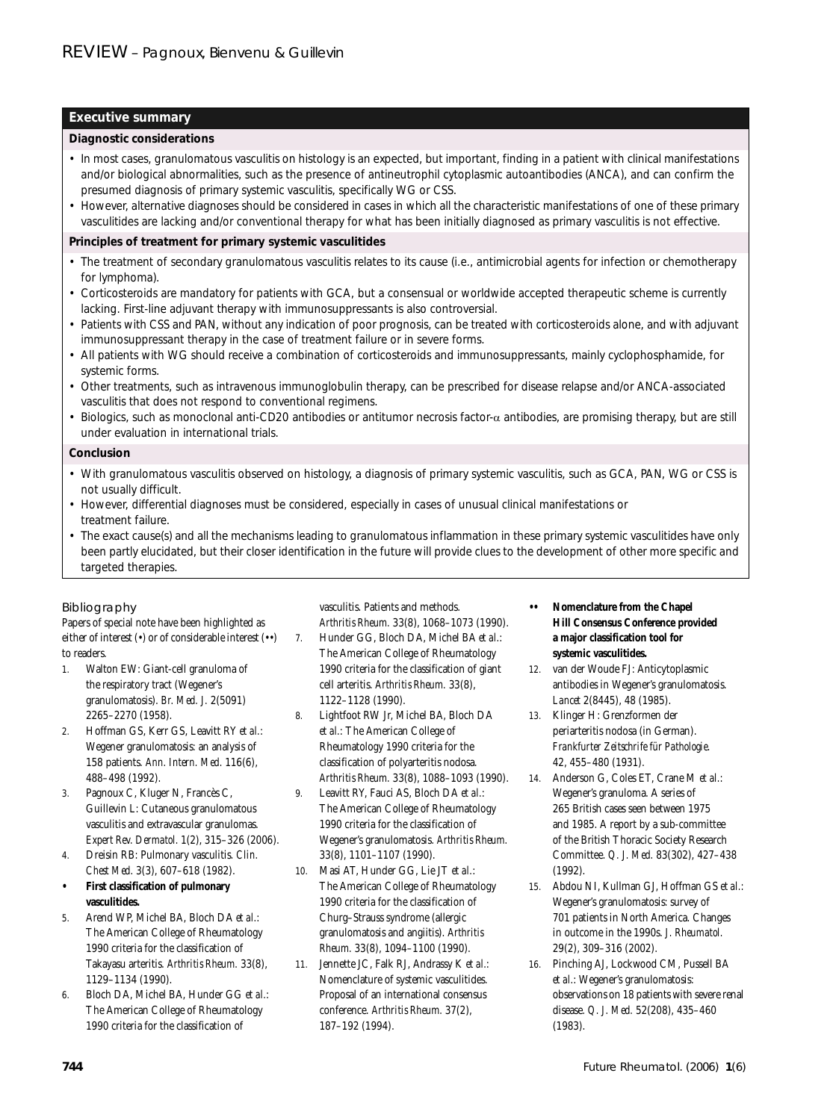## **Executive summary**

#### *Diagnostic considerations*

- In most cases, granulomatous vasculitis on histology is an expected, but important, finding in a patient with clinical manifestations and/or biological abnormalities, such as the presence of antineutrophil cytoplasmic autoantibodies (ANCA), and can confirm the presumed diagnosis of primary systemic vasculitis, specifically WG or CSS.
- However, alternative diagnoses should be considered in cases in which all the characteristic manifestations of one of these primary vasculitides are lacking and/or conventional therapy for what has been initially diagnosed as primary vasculitis is not effective.

#### *Principles of treatment for primary systemic vasculitides*

- The treatment of secondary granulomatous vasculitis relates to its cause (i.e., antimicrobial agents for infection or chemotherapy for lymphoma).
- Corticosteroids are mandatory for patients with GCA, but a consensual or worldwide accepted therapeutic scheme is currently lacking. First-line adjuvant therapy with immunosuppressants is also controversial.
- Patients with CSS and PAN, without any indication of poor prognosis, can be treated with corticosteroids alone, and with adjuvant immunosuppressant therapy in the case of treatment failure or in severe forms.
- All patients with WG should receive a combination of corticosteroids and immunosuppressants, mainly cyclophosphamide, for systemic forms.
- Other treatments, such as intravenous immunoglobulin therapy, can be prescribed for disease relapse and/or ANCA-associated vasculitis that does not respond to conventional regimens.
- Biologics, such as monoclonal anti-CD20 antibodies or antitumor necrosis factor-α antibodies, are promising therapy, but are still under evaluation in international trials.

#### *Conclusion*

- With granulomatous vasculitis observed on histology, a diagnosis of primary systemic vasculitis, such as GCA, PAN, WG or CSS is not usually difficult.
- However, differential diagnoses must be considered, especially in cases of unusual clinical manifestations or treatment failure.
- The exact cause(s) and all the mechanisms leading to granulomatous inflammation in these primary systemic vasculitides have only been partly elucidated, but their closer identification in the future will provide clues to the development of other more specific and targeted therapies.

## Bibliography

Papers of special note have been highlighted as either of interest (•) or of considerable interest (••) to readers.

- 1. Walton EW: Giant-cell granuloma of the respiratory tract (Wegener's granulomatosis). *Br. Med. J.* 2(5091) 2265–2270 (1958).
- 2. Hoffman GS, Kerr GS, Leavitt RY *et al.*: Wegener granulomatosis: an analysis of 158 patients. *Ann. Intern. Med.* 116(6), 488–498 (1992).
- 3. Pagnoux C, Kluger N, Francès C, Guillevin L: Cutaneous granulomatous vasculitis and extravascular granulomas. *Expert Rev. Dermatol.* 1(2), 315–326 (2006).
- 4. Dreisin RB: Pulmonary vasculitis. *Clin. Chest Med.* 3(3), 607–618 (1982).
- **First classification of pulmonary vasculitides.**
- 5. Arend WP, Michel BA, Bloch DA *et al.*: The American College of Rheumatology 1990 criteria for the classification of Takayasu arteritis. *Arthritis Rheum.* 33(8), 1129–1134 (1990).
- 6. Bloch DA, Michel BA, Hunder GG *et al.*: The American College of Rheumatology 1990 criteria for the classification of

vasculitis. Patients and methods. *Arthritis Rheum.* 33(8), 1068–1073 (1990). 7. Hunder GG, Bloch DA, Michel BA *et al.*: The American College of Rheumatology 1990 criteria for the classification of giant

1122–1128 (1990). 8. Lightfoot RW Jr, Michel BA, Bloch DA *et al.*: The American College of Rheumatology 1990 criteria for the classification of polyarteritis nodosa. *Arthritis Rheum.* 33(8), 1088–1093 (1990).

cell arteritis. *Arthritis Rheum.* 33(8),

- 9. Leavitt RY, Fauci AS, Bloch DA *et al.*: The American College of Rheumatology 1990 criteria for the classification of Wegener's granulomatosis. *Arthritis Rheum.* 33(8), 1101–1107 (1990).
- 10. Masi AT, Hunder GG, Lie JT *et al.*: The American College of Rheumatology 1990 criteria for the classification of Churg–Strauss syndrome (allergic granulomatosis and angiitis). *Arthritis Rheum.* 33(8), 1094–1100 (1990).
- 11. Jennette JC, Falk RJ, Andrassy K *et al.*: Nomenclature of systemic vasculitides. Proposal of an international consensus conference. *Arthritis Rheum.* 37(2), 187–192 (1994).
- **•• Nomenclature from the Chapel Hill Consensus Conference provided a major classification tool for systemic vasculitides.**
- 12. van der Woude FJ: Anticytoplasmic antibodies in Wegener's granulomatosis. *Lancet* 2(8445), 48 (1985).
- 13. Klinger H: Grenzformen der periarteritis nodosa (in German). *Frankfurter Zeitschrife für Pathologie.*  42, 455–480 (1931).
- 14. Anderson G, Coles ET, Crane M *et al.*: Wegener's granuloma. A series of 265 British cases seen between 1975 and 1985. A report by a sub-committee of the British Thoracic Society Research Committee. *Q. J. Med.* 83(302), 427–438 (1992).
- 15. Abdou NI, Kullman GJ, Hoffman GS *et al.*: Wegener's granulomatosis: survey of 701 patients in North America. Changes in outcome in the 1990s. *J. Rheumatol.*  29(2), 309–316 (2002).
- 16. Pinching AJ, Lockwood CM, Pussell BA *et al.*: Wegener's granulomatosis: observations on 18 patients with severe renal disease. *Q. J. Med.* 52(208), 435–460 (1983).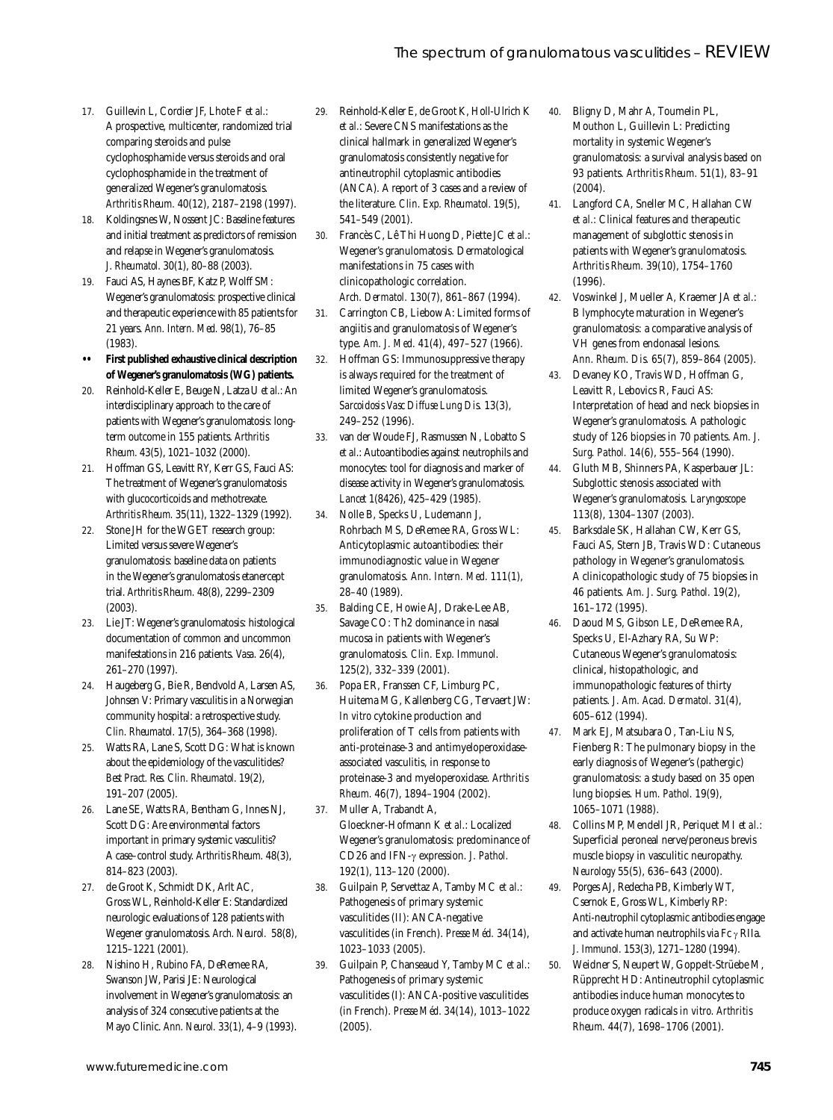- 17. Guillevin L, Cordier JF, Lhote F *et al.*: A prospective, multicenter, randomized trial comparing steroids and pulse cyclophosphamide versus steroids and oral cyclophosphamide in the treatment of generalized Wegener's granulomatosis. *Arthritis Rheum.* 40(12), 2187–2198 (1997).
- 18. Koldingsnes W, Nossent JC: Baseline features and initial treatment as predictors of remission and relapse in Wegener's granulomatosis. *J. Rheumatol.* 30(1), 80–88 (2003).
- 19. Fauci AS, Haynes BF, Katz P, Wolff SM: Wegener's granulomatosis: prospective clinical and therapeutic experience with 85 patients for 21 years. *Ann. Intern. Med.* 98(1), 76–85 (1983).
- First published exhaustive clinical description **of Wegener's granulomatosis (WG) patients.**
- 20. Reinhold-Keller E, Beuge N, Latza U *et al.*: An interdisciplinary approach to the care of patients with Wegener's granulomatosis: longterm outcome in 155 patients. *Arthritis Rheum.* 43(5), 1021–1032 (2000).
- 21. Hoffman GS, Leavitt RY, Kerr GS, Fauci AS: The treatment of Wegener's granulomatosis with glucocorticoids and methotrexate. *Arthritis Rheum.* 35(11), 1322–1329 (1992).
- 22. Stone JH for the WGET research group: Limited versus severe Wegener's granulomatosis: baseline data on patients in the Wegener's granulomatosis etanercept trial. *Arthritis Rheum.* 48(8), 2299–2309 (2003).
- 23. Lie JT: Wegener's granulomatosis: histological documentation of common and uncommon manifestations in 216 patients. *Vasa.* 26(4), 261–270 (1997).
- 24. Haugeberg G, Bie R, Bendvold A, Larsen AS, Johnsen V: Primary vasculitis in a Norwegian community hospital: a retrospective study. *Clin. Rheumatol.* 17(5), 364–368 (1998).
- 25. Watts RA, Lane S, Scott DG: What is known about the epidemiology of the vasculitides? *Best Pract. Res. Clin. Rheumatol.* 19(2), 191–207 (2005).
- 26. Lane SE, Watts RA, Bentham G, Innes NJ, Scott DG: Are environmental factors important in primary systemic vasculitis? A case–control study. *Arthritis Rheum.* 48(3), 814–823 (2003).
- 27. de Groot K, Schmidt DK, Arlt AC, Gross WL, Reinhold-Keller E: Standardized neurologic evaluations of 128 patients with Wegener granulomatosis. *Arch. Neurol.* 58(8), 1215–1221 (2001).
- 28. Nishino H, Rubino FA, DeRemee RA, Swanson JW, Parisi JE: Neurological involvement in Wegener's granulomatosis: an analysis of 324 consecutive patients at the Mayo Clinic. *Ann. Neurol.* 33(1), 4–9 (1993).
- 29. Reinhold-Keller E, de Groot K, Holl-Ulrich K *et al.*: Severe CNS manifestations as the clinical hallmark in generalized Wegener's granulomatosis consistently negative for antineutrophil cytoplasmic antibodies (ANCA). A report of 3 cases and a review of the literature. *Clin. Exp. Rheumatol.* 19(5), 541–549 (2001).
- 30. Francès C, Lê Thi Huong D, Piette JC *et al.*: Wegener's granulomatosis. Dermatological manifestations in 75 cases with clinicopathologic correlation. *Arch. Dermatol.* 130(7), 861–867 (1994).
- 31. Carrington CB, Liebow A: Limited forms of angiitis and granulomatosis of Wegener's type. *Am. J. Med.* 41(4), 497–527 (1966).
- 32. Hoffman GS: Immunosuppressive therapy is always required for the treatment of limited Wegener's granulomatosis. *Sarcoidosis Vasc Diffuse Lung Dis.* 13(3), 249–252 (1996).
- 33. van der Woude FJ, Rasmussen N, Lobatto S *et al.*: Autoantibodies against neutrophils and monocytes: tool for diagnosis and marker of disease activity in Wegener's granulomatosis. *Lancet* 1(8426), 425–429 (1985).
- 34. Nolle B, Specks U, Ludemann J, Rohrbach MS, DeRemee RA, Gross WL: Anticytoplasmic autoantibodies: their immunodiagnostic value in Wegener granulomatosis. *Ann. Intern. Med.* 111(1), 28–40 (1989).
- 35. Balding CE, Howie AJ, Drake-Lee AB, Savage CO: Th2 dominance in nasal mucosa in patients with Wegener's granulomatosis. *Clin. Exp. Immunol.* 125(2), 332–339 (2001).
- 36. Popa ER, Franssen CF, Limburg PC, Huitema MG, Kallenberg CG, Tervaert JW: *In vitro* cytokine production and proliferation of T cells from patients with anti-proteinase-3 and antimyeloperoxidaseassociated vasculitis, in response to proteinase-3 and myeloperoxidase. *Arthritis Rheum.* 46(7), 1894–1904 (2002).
- 37. Muller A, Trabandt A, Gloeckner-Hofmann K *et al.*: Localized Wegener's granulomatosis: predominance of CD26 and IFN-γ expression. *J. Pathol.*  192(1), 113–120 (2000).
- 38. Guilpain P, Servettaz A, Tamby MC *et al.*: Pathogenesis of primary systemic vasculitides (II): ANCA-negative vasculitides (in French). *Presse Méd.* 34(14), 1023–1033 (2005).
- 39. Guilpain P, Chanseaud Y, Tamby MC *et al.*: Pathogenesis of primary systemic vasculitides (I): ANCA-positive vasculitides (in French). *Presse Méd.* 34(14), 1013–1022 (2005).
- 40. Bligny D, Mahr A, Toumelin PL, Mouthon L, Guillevin L: Predicting mortality in systemic Wegener's granulomatosis: a survival analysis based on 93 patients. *Arthritis Rheum.* 51(1), 83–91 (2004).
- 41. Langford CA, Sneller MC, Hallahan CW *et al.*: Clinical features and therapeutic management of subglottic stenosis in patients with Wegener's granulomatosis. *Arthritis Rheum.* 39(10), 1754–1760 (1996).
- 42. Voswinkel J, Mueller A, Kraemer JA *et al.*: B lymphocyte maturation in Wegener's granulomatosis: a comparative analysis of VH genes from endonasal lesions. *Ann. Rheum. Dis.* 65(7), 859–864 (2005).
- 43. Devaney KO, Travis WD, Hoffman G, Leavitt R, Lebovics R, Fauci AS: Interpretation of head and neck biopsies in Wegener's granulomatosis. A pathologic study of 126 biopsies in 70 patients. *Am. J. Surg. Pathol.* 14(6), 555–564 (1990).
- 44. Gluth MB, Shinners PA, Kasperbauer JL: Subglottic stenosis associated with Wegener's granulomatosis. *Laryngoscope*  113(8), 1304–1307 (2003).
- 45. Barksdale SK, Hallahan CW, Kerr GS, Fauci AS, Stern JB, Travis WD: Cutaneous pathology in Wegener's granulomatosis. A clinicopathologic study of 75 biopsies in 46 patients. *Am. J. Surg. Pathol.* 19(2), 161–172 (1995).
- 46. Daoud MS, Gibson LE, DeRemee RA, Specks U, El-Azhary RA, Su WP: Cutaneous Wegener's granulomatosis: clinical, histopathologic, and immunopathologic features of thirty patients. *J. Am. Acad. Dermatol.* 31(4), 605–612 (1994).
- 47. Mark EJ, Matsubara O, Tan-Liu NS, Fienberg R: The pulmonary biopsy in the early diagnosis of Wegener's (pathergic) granulomatosis: a study based on 35 open lung biopsies. *Hum. Pathol.* 19(9), 1065–1071 (1988).
- 48. Collins MP, Mendell JR, Periquet MI *et al.*: Superficial peroneal nerve/peroneus brevis muscle biopsy in vasculitic neuropathy. *Neurology* 55(5), 636–643 (2000).
- 49. Porges AJ, Redecha PB, Kimberly WT, Csernok E, Gross WL, Kimberly RP: Anti-neutrophil cytoplasmic antibodies engage and activate human neutrophils via Fc γ RIIa. *J. Immunol.* 153(3), 1271–1280 (1994).
- 50. Weidner S, Neupert W, Goppelt-Strüebe M, Rüpprecht HD: Antineutrophil cytoplasmic antibodies induce human monocytes to produce oxygen radicals *in vitro*. *Arthritis Rheum.* 44(7), 1698–1706 (2001).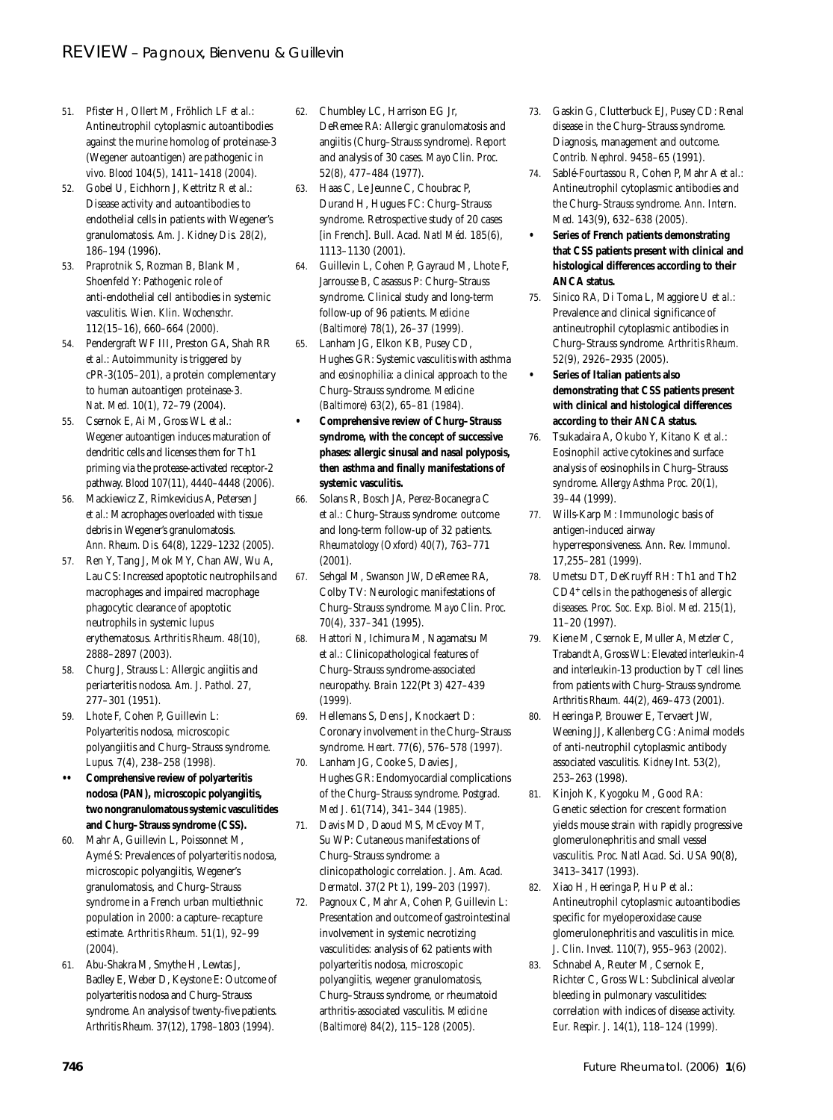- 51. Pfister H, Ollert M, Fröhlich LF *et al.*: Antineutrophil cytoplasmic autoantibodies against the murine homolog of proteinase-3 (Wegener autoantigen) are pathogenic *in vivo*. *Blood* 104(5), 1411–1418 (2004).
- 52. Gobel U, Eichhorn J, Kettritz R *et al.*: Disease activity and autoantibodies to endothelial cells in patients with Wegener's granulomatosis. *Am. J. Kidney Dis.* 28(2), 186–194 (1996).
- 53. Praprotnik S, Rozman B, Blank M, Shoenfeld Y: Pathogenic role of anti-endothelial cell antibodies in systemic vasculitis. *Wien. Klin. Wochenschr.* 112(15–16), 660–664 (2000).
- 54. Pendergraft WF III, Preston GA, Shah RR *et al.*: Autoimmunity is triggered by cPR-3(105–201), a protein complementary to human autoantigen proteinase-3. *Nat. Med.* 10(1), 72–79 (2004).
- 55. Csernok E, Ai M, Gross WL *et al.*: Wegener autoantigen induces maturation of dendritic cells and licenses them for Th1 priming via the protease-activated receptor-2 pathway. *Blood* 107(11), 4440–4448 (2006).
- 56. Mackiewicz Z, Rimkevicius A, Petersen J *et al.*: Macrophages overloaded with tissue debris in Wegener's granulomatosis. *Ann. Rheum. Dis.* 64(8), 1229–1232 (2005).
- 57. Ren Y, Tang J, Mok MY, Chan AW, Wu A, Lau CS: Increased apoptotic neutrophils and macrophages and impaired macrophage phagocytic clearance of apoptotic neutrophils in systemic lupus erythematosus. *Arthritis Rheum.* 48(10), 2888–2897 (2003).
- 58. Churg J, Strauss L: Allergic angiitis and periarteritis nodosa. *Am. J. Pathol.* 27, 277–301 (1951).
- 59. Lhote F, Cohen P, Guillevin L: Polyarteritis nodosa, microscopic polyangiitis and Churg–Strauss syndrome. *Lupus*. 7(4), 238–258 (1998).
- **•• Comprehensive review of polyarteritis nodosa (PAN), microscopic polyangiitis, two nongranulomatous systemic vasculitides and Churg–Strauss syndrome (CSS).**
- 60. Mahr A, Guillevin L, Poissonnet M, Aymé S: Prevalences of polyarteritis nodosa, microscopic polyangiitis, Wegener's granulomatosis, and Churg–Strauss syndrome in a French urban multiethnic population in 2000: a capture–recapture estimate. *Arthritis Rheum.* 51(1), 92–99  $(2004)$
- 61. Abu-Shakra M, Smythe H, Lewtas J, Badley E, Weber D, Keystone E: Outcome of polyarteritis nodosa and Churg–Strauss syndrome. An analysis of twenty-five patients. *Arthritis Rheum.* 37(12), 1798–1803 (1994).
- 62. Chumbley LC, Harrison EG Jr, DeRemee RA: Allergic granulomatosis and angiitis (Churg–Strauss syndrome). Report and analysis of 30 cases. *Mayo Clin. Proc*. 52(8), 477–484 (1977).
- 63. Haas C, Le Jeunne C, Choubrac P, Durand H, Hugues FC: Churg–Strauss syndrome. Retrospective study of 20 cases [in French]. *Bull. Acad. Natl Méd.* 185(6), 1113–1130 (2001).
- 64. Guillevin L, Cohen P, Gayraud M, Lhote F, Jarrousse B, Casassus P: Churg–Strauss syndrome. Clinical study and long-term follow-up of 96 patients. *Medicine (Baltimore)* 78(1), 26–37 (1999).
- 65. Lanham JG, Elkon KB, Pusey CD, Hughes GR: Systemic vasculitis with asthma and eosinophilia: a clinical approach to the Churg–Strauss syndrome. *Medicine (Baltimore)* 63(2), 65–81 (1984).
- **Comprehensive review of Churg–Strauss syndrome, with the concept of successive phases: allergic sinusal and nasal polyposis, then asthma and finally manifestations of systemic vasculitis.**
- 66. Solans R, Bosch JA, Perez-Bocanegra C *et al.*: Churg–Strauss syndrome: outcome and long-term follow-up of 32 patients. *Rheumatology (Oxford)* 40(7), 763–771 (2001).
- 67. Sehgal M, Swanson JW, DeRemee RA, Colby TV: Neurologic manifestations of Churg–Strauss syndrome. *Mayo Clin. Proc.* 70(4), 337–341 (1995).
- 68. Hattori N, Ichimura M, Nagamatsu M *et al.*: Clinicopathological features of Churg–Strauss syndrome-associated neuropathy. *Brain* 122(Pt 3) 427–439 (1999).
- 69. Hellemans S, Dens J, Knockaert D: Coronary involvement in the Churg–Strauss syndrome. *Heart*. 77(6), 576–578 (1997).
- 70. Lanham JG, Cooke S, Davies J, Hughes GR: Endomyocardial complications of the Churg–Strauss syndrome. *Postgrad. Med J*. 61(714), 341–344 (1985).
- 71. Davis MD, Daoud MS, McEvoy MT, Su WP: Cutaneous manifestations of Churg–Strauss syndrome: a clinicopathologic correlation. *J. Am. Acad. Dermatol.* 37(2 Pt 1), 199–203 (1997).
- 72. Pagnoux C, Mahr A, Cohen P, Guillevin L: Presentation and outcome of gastrointestinal involvement in systemic necrotizing vasculitides: analysis of 62 patients with polyarteritis nodosa, microscopic polyangiitis, wegener granulomatosis, Churg–Strauss syndrome, or rheumatoid arthritis-associated vasculitis. *Medicine (Baltimore)* 84(2), 115–128 (2005).
- 73. Gaskin G, Clutterbuck EJ, Pusey CD: Renal disease in the Churg–Strauss syndrome. Diagnosis, management and outcome. *Contrib. Nephrol.* 9458–65 (1991).
- 74. Sablé-Fourtassou R, Cohen P, Mahr A *et al.*: Antineutrophil cytoplasmic antibodies and the Churg–Strauss syndrome. *Ann. Intern. Med.* 143(9), 632–638 (2005).
- **Series of French patients demonstrating that CSS patients present with clinical and histological differences according to their ANCA status.**
- 75. Sinico RA, Di Toma L, Maggiore U *et al.*: Prevalence and clinical significance of antineutrophil cytoplasmic antibodies in Churg–Strauss syndrome. *Arthritis Rheum.* 52(9), 2926–2935 (2005).
	- **Series of Italian patients also demonstrating that CSS patients present with clinical and histological differences according to their ANCA status.**
- 76. Tsukadaira A, Okubo Y, Kitano K *et al.*: Eosinophil active cytokines and surface analysis of eosinophils in Churg–Strauss syndrome. *Allergy Asthma Proc*. 20(1), 39–44 (1999).
- 77. Wills-Karp M: Immunologic basis of antigen-induced airway hyperresponsiveness. *Ann. Rev. Immunol.*  17,255–281 (1999).
- 78. Umetsu DT, DeKruyff RH: Th1 and Th2 CD4+ cells in the pathogenesis of allergic diseases. *Proc. Soc. Exp. Biol. Med.* 215(1), 11–20 (1997).
- 79. Kiene M, Csernok E, Muller A, Metzler C, Trabandt A, Gross WL: Elevated interleukin-4 and interleukin-13 production by T cell lines from patients with Churg–Strauss syndrome. *Arthritis Rheum.* 44(2), 469–473 (2001).
- 80. Heeringa P, Brouwer E, Tervaert JW, Weening JJ, Kallenberg CG: Animal models of anti-neutrophil cytoplasmic antibody associated vasculitis. *Kidney Int.* 53(2), 253–263 (1998).
- 81. Kinjoh K, Kyogoku M, Good RA: Genetic selection for crescent formation yields mouse strain with rapidly progressive glomerulonephritis and small vessel vasculitis. *Proc. Natl Acad. Sci. USA* 90(8), 3413–3417 (1993).
- 82. Xiao H, Heeringa P, Hu P *et al.*: Antineutrophil cytoplasmic autoantibodies specific for myeloperoxidase cause glomerulonephritis and vasculitis in mice. *J. Clin. Invest.* 110(7), 955–963 (2002).
- 83. Schnabel A, Reuter M, Csernok E, Richter C, Gross WL: Subclinical alveolar bleeding in pulmonary vasculitides: correlation with indices of disease activity. *Eur. Respir. J.* 14(1), 118–124 (1999).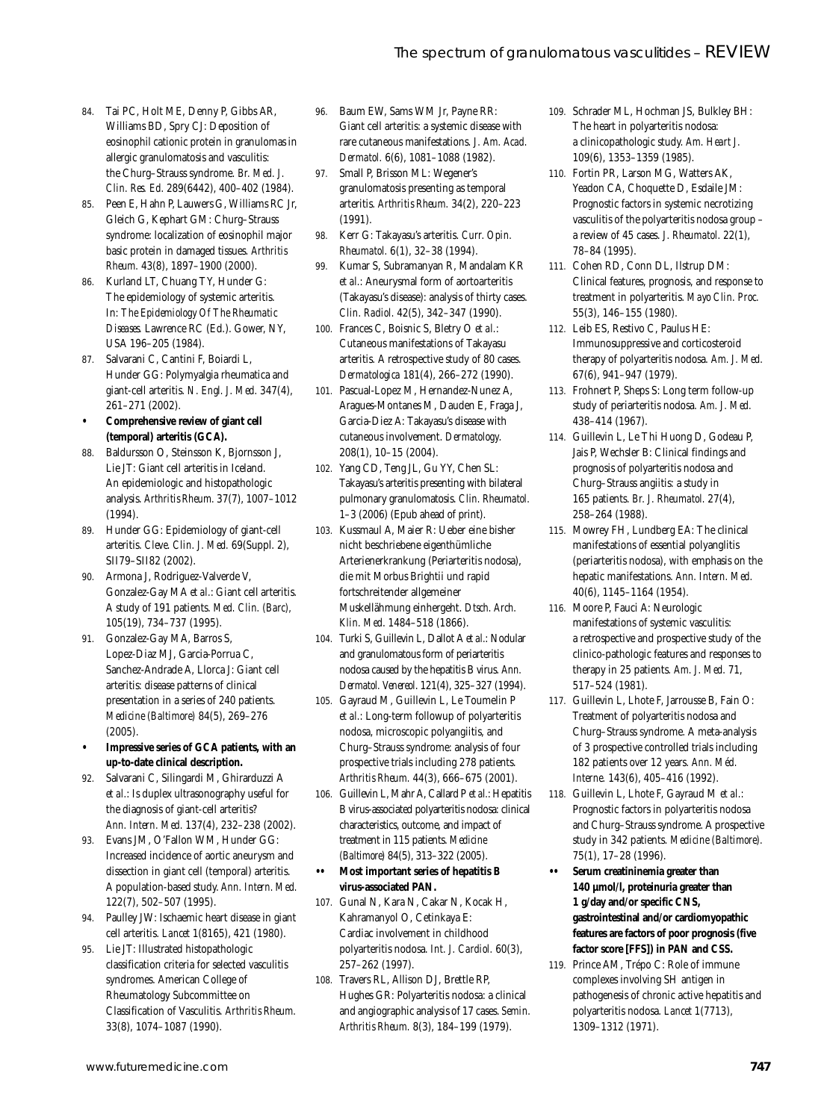- 84. Tai PC, Holt ME, Denny P, Gibbs AR, Williams BD, Spry CJ: Deposition of eosinophil cationic protein in granulomas in allergic granulomatosis and vasculitis: the Churg–Strauss syndrome. *Br. Med. J. Clin. Res. Ed.* 289(6442), 400–402 (1984).
- 85. Peen E, Hahn P, Lauwers G, Williams RC Jr, Gleich G, Kephart GM: Churg–Strauss syndrome: localization of eosinophil major basic protein in damaged tissues. *Arthritis Rheum.* 43(8), 1897–1900 (2000).
- 86. Kurland LT, Chuang TY, Hunder G: The epidemiology of systemic arteritis. In: *The Epidemiology Of The Rheumatic Diseases.* Lawrence RC (Ed.). Gower, NY, USA 196–205 (1984).
- 87. Salvarani C, Cantini F, Boiardi L, Hunder GG: Polymyalgia rheumatica and giant-cell arteritis. *N. Engl. J. Med.* 347(4), 261–271 (2002).
- **Comprehensive review of giant cell (temporal) arteritis (GCA).**
- 88. Baldursson O, Steinsson K, Bjornsson J, Lie JT: Giant cell arteritis in Iceland. An epidemiologic and histopathologic analysis. *Arthritis Rheum.* 37(7), 1007–1012 (1994).
- 89. Hunder GG: Epidemiology of giant-cell arteritis. *Cleve. Clin. J. Med.* 69(Suppl. 2), SII79–SII82 (2002).
- 90. Armona J, Rodriguez-Valverde V, Gonzalez-Gay MA *et al.*: Giant cell arteritis. A study of 191 patients. *Med. Clin. (Barc),* 105(19), 734–737 (1995).
- 91. Gonzalez-Gay MA, Barros S, Lopez-Diaz MJ, Garcia-Porrua C, Sanchez-Andrade A, Llorca J: Giant cell arteritis: disease patterns of clinical presentation in a series of 240 patients. *Medicine (Baltimore)* 84(5), 269–276 (2005).
- **Impressive series of GCA patients, with an up-to-date clinical description.**
- 92. Salvarani C, Silingardi M, Ghirarduzzi A *et al.*: Is duplex ultrasonography useful for the diagnosis of giant-cell arteritis? *Ann. Intern. Med.* 137(4), 232–238 (2002).
- 93. Evans JM, O'Fallon WM, Hunder GG: Increased incidence of aortic aneurysm and dissection in giant cell (temporal) arteritis. A population-based study. *Ann. Intern. Med.*  122(7), 502–507 (1995).
- 94. Paulley JW: Ischaemic heart disease in giant cell arteritis. *Lancet* 1(8165), 421 (1980).
- 95. Lie JT: Illustrated histopathologic classification criteria for selected vasculitis syndromes. American College of Rheumatology Subcommittee on Classification of Vasculitis. *Arthritis Rheum.* 33(8), 1074–1087 (1990).
- 96. Baum EW, Sams WM Jr, Payne RR: Giant cell arteritis: a systemic disease with rare cutaneous manifestations. *J. Am. Acad. Dermatol.* 6(6), 1081–1088 (1982).
- 97. Small P, Brisson ML: Wegener's granulomatosis presenting as temporal arteritis. *Arthritis Rheum.* 34(2), 220–223 (1991).
- 98. Kerr G: Takayasu's arteritis. *Curr. Opin. Rheumatol.* 6(1), 32–38 (1994).
- 99. Kumar S, Subramanyan R, Mandalam KR *et al.*: Aneurysmal form of aortoarteritis (Takayasu's disease): analysis of thirty cases. *Clin. Radiol.* 42(5), 342–347 (1990).
- 100. Frances C, Boisnic S, Bletry O *et al.*: Cutaneous manifestations of Takayasu arteritis. A retrospective study of 80 cases. *Dermatologica* 181(4), 266–272 (1990).
- 101. Pascual-Lopez M, Hernandez-Nunez A, Aragues-Montanes M, Dauden E, Fraga J, Garcia-Diez A: Takayasu's disease with cutaneous involvement. *Dermatology*. 208(1), 10–15 (2004).
- 102. Yang CD, Teng JL, Gu YY, Chen SL: Takayasu's arteritis presenting with bilateral pulmonary granulomatosis. *Clin. Rheumatol.*  1–3 (2006) (Epub ahead of print).
- 103. Kussmaul A, Maier R: Ueber eine bisher nicht beschriebene eigenthümliche Arterienerkrankung (Periarteritis nodosa), die mit Morbus Brightii und rapid fortschreitender allgemeiner Muskellähmung einhergeht. *Dtsch. Arch. Klin. Med*. 1484–518 (1866).
- 104. Turki S, Guillevin L, Dallot A *et al.*: Nodular and granulomatous form of periarteritis nodosa caused by the hepatitis B virus. *Ann. Dermatol. Venereol*. 121(4), 325–327 (1994).
- 105. Gayraud M, Guillevin L, Le Toumelin P *et al.*: Long-term followup of polyarteritis nodosa, microscopic polyangiitis, and Churg–Strauss syndrome: analysis of four prospective trials including 278 patients. *Arthritis Rheum.* 44(3), 666–675 (2001).
- 106. Guillevin L, Mahr A, Callard P *et al.*: Hepatitis B virus-associated polyarteritis nodosa: clinical characteristics, outcome, and impact of treatment in 115 patients. *Medicine (Baltimore)* 84(5), 313–322 (2005).
- **•• Most important series of hepatitis B virus-associated PAN.**
- 107. Gunal N, Kara N, Cakar N, Kocak H, Kahramanyol O, Cetinkaya E: Cardiac involvement in childhood polyarteritis nodosa. *Int. J. Cardiol.* 60(3), 257–262 (1997).
- 108. Travers RL, Allison DJ, Brettle RP, Hughes GR: Polyarteritis nodosa: a clinical and angiographic analysis of 17 cases. *Semin. Arthritis Rheum.* 8(3), 184–199 (1979).
- 109. Schrader ML, Hochman JS, Bulkley BH: The heart in polyarteritis nodosa: a clinicopathologic study. *Am. Heart J.*  109(6), 1353–1359 (1985).
- 110. Fortin PR, Larson MG, Watters AK, Yeadon CA, Choquette D, Esdaile JM: Prognostic factors in systemic necrotizing vasculitis of the polyarteritis nodosa group – a review of 45 cases. *J. Rheumatol.* 22(1), 78–84 (1995).
- 111. Cohen RD, Conn DL, Ilstrup DM: Clinical features, prognosis, and response to treatment in polyarteritis. *Mayo Clin. Proc.* 55(3), 146–155 (1980).
- 112. Leib ES, Restivo C, Paulus HE: Immunosuppressive and corticosteroid therapy of polyarteritis nodosa. *Am. J. Med.* 67(6), 941–947 (1979).
- 113. Frohnert P, Sheps S: Long term follow-up study of periarteritis nodosa. *Am. J. Med.* 438–414 (1967).
- 114. Guillevin L, Le Thi Huong D, Godeau P, Jais P, Wechsler B: Clinical findings and prognosis of polyarteritis nodosa and Churg–Strauss angiitis: a study in 165 patients. *Br. J. Rheumatol.* 27(4), 258–264 (1988).
- 115. Mowrey FH, Lundberg EA: The clinical manifestations of essential polyanglitis (periarteritis nodosa), with emphasis on the hepatic manifestations. *Ann. Intern. Med.*  40(6), 1145–1164 (1954).
- 116. Moore P, Fauci A: Neurologic manifestations of systemic vasculitis: a retrospective and prospective study of the clinico-pathologic features and responses to therapy in 25 patients. *Am. J. Med.* 71, 517–524 (1981).
- 117. Guillevin L, Lhote F, Jarrousse B, Fain O: Treatment of polyarteritis nodosa and Churg–Strauss syndrome. A meta-analysis of 3 prospective controlled trials including 182 patients over 12 years. *Ann. Méd. Interne.* 143(6), 405–416 (1992).
- 118. Guillevin L, Lhote F, Gayraud M *et al.*: Prognostic factors in polyarteritis nodosa and Churg–Strauss syndrome. A prospective study in 342 patients. *Medicine (Baltimore).*  75(1), 17–28 (1996).
- **•• Serum creatininemia greater than 140 µmol/l, proteinuria greater than 1 g/day and/or specific CNS, gastrointestinal and/or cardiomyopathic features are factors of poor prognosis (five factor score [FFS]) in PAN and CSS.**
- 119. Prince AM, Trépo C: Role of immune complexes involving SH antigen in pathogenesis of chronic active hepatitis and polyarteritis nodosa. *Lancet* 1(7713), 1309–1312 (1971).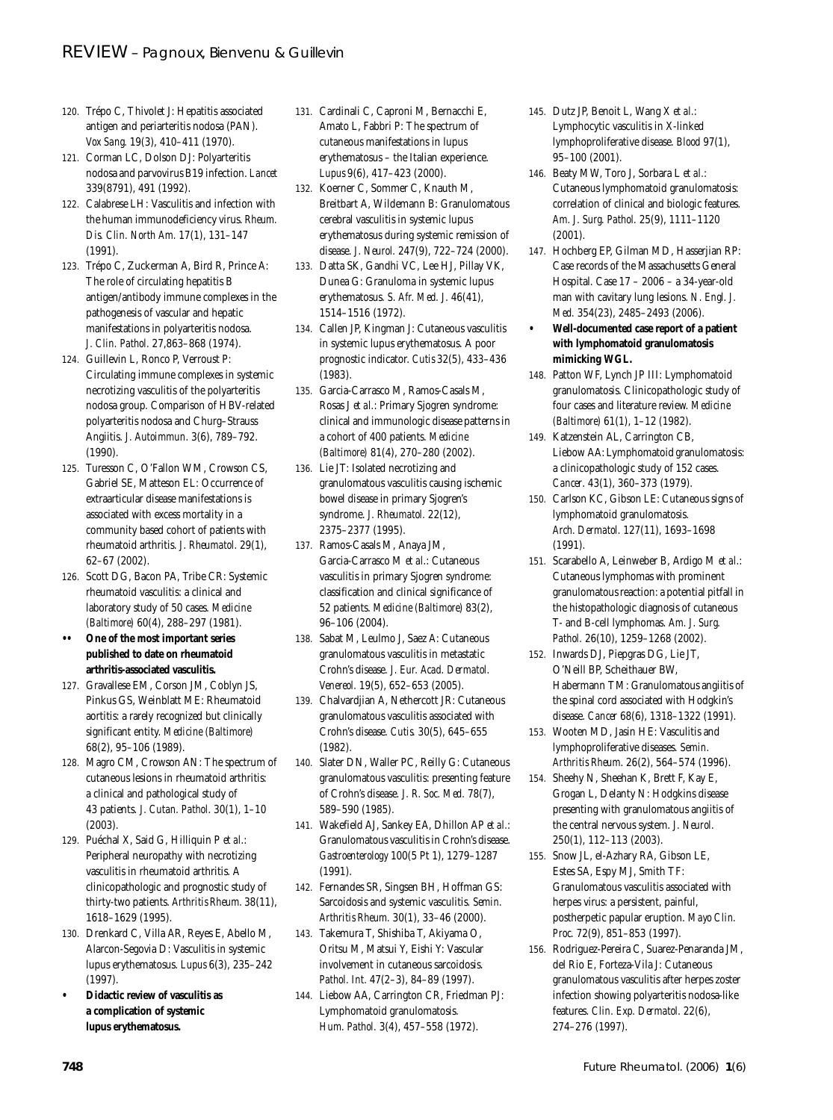- 120. Trépo C, Thivolet J: Hepatitis associated antigen and periarteritis nodosa (PAN). *Vox Sang.* 19(3), 410–411 (1970).
- 121. Corman LC, Dolson DJ: Polyarteritis nodosa and parvovirus B19 infection. *Lancet* 339(8791), 491 (1992).
- 122. Calabrese LH: Vasculitis and infection with the human immunodeficiency virus. *Rheum. Dis. Clin. North Am.* 17(1), 131–147 (1991).
- 123. Trépo C, Zuckerman A, Bird R, Prince A: The role of circulating hepatitis B antigen/antibody immune complexes in the pathogenesis of vascular and hepatic manifestations in polyarteritis nodosa. *J. Clin. Pathol.* 27,863–868 (1974).
- 124. Guillevin L, Ronco P, Verroust P: Circulating immune complexes in systemic necrotizing vasculitis of the polyarteritis nodosa group. Comparison of HBV-related polyarteritis nodosa and Churg–Strauss Angiitis. *J. Autoimmun.* 3(6), 789–792. (1990).
- 125. Turesson C, O'Fallon WM, Crowson CS, Gabriel SE, Matteson EL: Occurrence of extraarticular disease manifestations is associated with excess mortality in a community based cohort of patients with rheumatoid arthritis. *J. Rheumatol.* 29(1), 62–67 (2002).
- 126. Scott DG, Bacon PA, Tribe CR: Systemic rheumatoid vasculitis: a clinical and laboratory study of 50 cases. *Medicine (Baltimore)* 60(4), 288–297 (1981).
- **•• One of the most important series published to date on rheumatoid arthritis-associated vasculitis.**
- 127. Gravallese EM, Corson JM, Coblyn JS, Pinkus GS, Weinblatt ME: Rheumatoid aortitis: a rarely recognized but clinically significant entity. *Medicine (Baltimore)*  68(2), 95–106 (1989).
- 128. Magro CM, Crowson AN: The spectrum of cutaneous lesions in rheumatoid arthritis: a clinical and pathological study of 43 patients. *J. Cutan. Pathol.* 30(1), 1–10 (2003).
- 129. Puéchal X, Said G, Hilliquin P *et al.*: Peripheral neuropathy with necrotizing vasculitis in rheumatoid arthritis. A clinicopathologic and prognostic study of thirty-two patients. *Arthritis Rheum.* 38(11), 1618–1629 (1995).
- 130. Drenkard C, Villa AR, Reyes E, Abello M, Alarcon-Segovia D: Vasculitis in systemic lupus erythematosus. *Lupus* 6(3), 235–242 (1997).
- **Didactic review of vasculitis as a complication of systemic lupus erythematosus.**
- 131. Cardinali C, Caproni M, Bernacchi E, Amato L, Fabbri P: The spectrum of cutaneous manifestations in lupus erythematosus – the Italian experience. *Lupus* 9(6), 417–423 (2000).
- 132. Koerner C, Sommer C, Knauth M, Breitbart A, Wildemann B: Granulomatous cerebral vasculitis in systemic lupus erythematosus during systemic remission of disease. *J. Neurol.* 247(9), 722–724 (2000).
- 133. Datta SK, Gandhi VC, Lee HJ, Pillay VK, Dunea G: Granuloma in systemic lupus erythematosus. *S. Afr. Med. J.* 46(41), 1514–1516 (1972).
- 134. Callen JP, Kingman J: Cutaneous vasculitis in systemic lupus erythematosus. A poor prognostic indicator. *Cutis* 32(5), 433–436 (1983).
- 135. Garcia-Carrasco M, Ramos-Casals M, Rosas J *et al.*: Primary Sjogren syndrome: clinical and immunologic disease patterns in a cohort of 400 patients. *Medicine (Baltimore)* 81(4), 270–280 (2002).
- 136. Lie JT: Isolated necrotizing and granulomatous vasculitis causing ischemic bowel disease in primary Sjogren's syndrome. *J. Rheumatol.* 22(12), 2375–2377 (1995).
- 137. Ramos-Casals M, Anaya JM, Garcia-Carrasco M *et al.*: Cutaneous vasculitis in primary Sjogren syndrome: classification and clinical significance of 52 patients. *Medicine (Baltimore)* 83(2), 96–106 (2004).
- 138. Sabat M, Leulmo J, Saez A: Cutaneous granulomatous vasculitis in metastatic Crohn's disease. *J. Eur. Acad. Dermatol. Venereol.* 19(5), 652–653 (2005).
- 139. Chalvardjian A, Nethercott JR: Cutaneous granulomatous vasculitis associated with Crohn's disease. *Cutis.* 30(5), 645–655 (1982).
- 140. Slater DN, Waller PC, Reilly G: Cutaneous granulomatous vasculitis: presenting feature of Crohn's disease. *J. R. Soc. Med.* 78(7), 589–590 (1985).
- 141. Wakefield AJ, Sankey EA, Dhillon AP *et al.*: Granulomatous vasculitis in Crohn's disease. *Gastroenterology* 100(5 Pt 1), 1279–1287 (1991).
- 142. Fernandes SR, Singsen BH, Hoffman GS: Sarcoidosis and systemic vasculitis. *Semin. Arthritis Rheum.* 30(1), 33–46 (2000).
- 143. Takemura T, Shishiba T, Akiyama O, Oritsu M, Matsui Y, Eishi Y: Vascular involvement in cutaneous sarcoidosis. *Pathol. Int.* 47(2–3), 84–89 (1997).
- 144. Liebow AA, Carrington CR, Friedman PJ: Lymphomatoid granulomatosis. *Hum. Pathol.* 3(4), 457–558 (1972).
- 145. Dutz JP, Benoit L, Wang X *et al.*: Lymphocytic vasculitis in X-linked lymphoproliferative disease. *Blood* 97(1), 95–100 (2001).
- 146. Beaty MW, Toro J, Sorbara L *et al.*: Cutaneous lymphomatoid granulomatosis: correlation of clinical and biologic features. *Am. J. Surg. Pathol.* 25(9), 1111–1120  $(2001)$
- 147. Hochberg EP, Gilman MD, Hasserjian RP: Case records of the Massachusetts General Hospital. Case 17 – 2006 – a 34-year-old man with cavitary lung lesions. *N. Engl. J. Med.* 354(23), 2485–2493 (2006).
- **Well-documented case report of a patient with lymphomatoid granulomatosis mimicking WGL.**
- 148. Patton WF, Lynch JP III: Lymphomatoid granulomatosis. Clinicopathologic study of four cases and literature review. *Medicine (Baltimore)* 61(1), 1–12 (1982).
- 149. Katzenstein AL, Carrington CB, Liebow AA: Lymphomatoid granulomatosis: a clinicopathologic study of 152 cases. *Cancer*. 43(1), 360–373 (1979).
- 150. Carlson KC, Gibson LE: Cutaneous signs of lymphomatoid granulomatosis. *Arch. Dermatol.* 127(11), 1693–1698 (1991).
- 151. Scarabello A, Leinweber B, Ardigo M *et al.*: Cutaneous lymphomas with prominent granulomatous reaction: a potential pitfall in the histopathologic diagnosis of cutaneous T- and B-cell lymphomas. *Am. J. Surg. Pathol.* 26(10), 1259–1268 (2002).
- 152. Inwards DJ, Piepgras DG, Lie JT, O'Neill BP, Scheithauer BW, Habermann TM: Granulomatous angiitis of the spinal cord associated with Hodgkin's disease. *Cancer* 68(6), 1318–1322 (1991).
- 153. Wooten MD, Jasin HE: Vasculitis and lymphoproliferative diseases. *Semin. Arthritis Rheum.* 26(2), 564–574 (1996).
- 154. Sheehy N, Sheehan K, Brett F, Kay E, Grogan L, Delanty N: Hodgkins disease presenting with granulomatous angiitis of the central nervous system. *J. Neurol.* 250(1), 112–113 (2003).
- 155. Snow JL, el-Azhary RA, Gibson LE, Estes SA, Espy MJ, Smith TF: Granulomatous vasculitis associated with herpes virus: a persistent, painful, postherpetic papular eruption. *Mayo Clin. Proc.* 72(9), 851–853 (1997).
- 156. Rodriguez-Pereira C, Suarez-Penaranda JM, del Rio E, Forteza-Vila J: Cutaneous granulomatous vasculitis after herpes zoster infection showing polyarteritis nodosa-like features. *Clin. Exp. Dermatol.* 22(6), 274–276 (1997).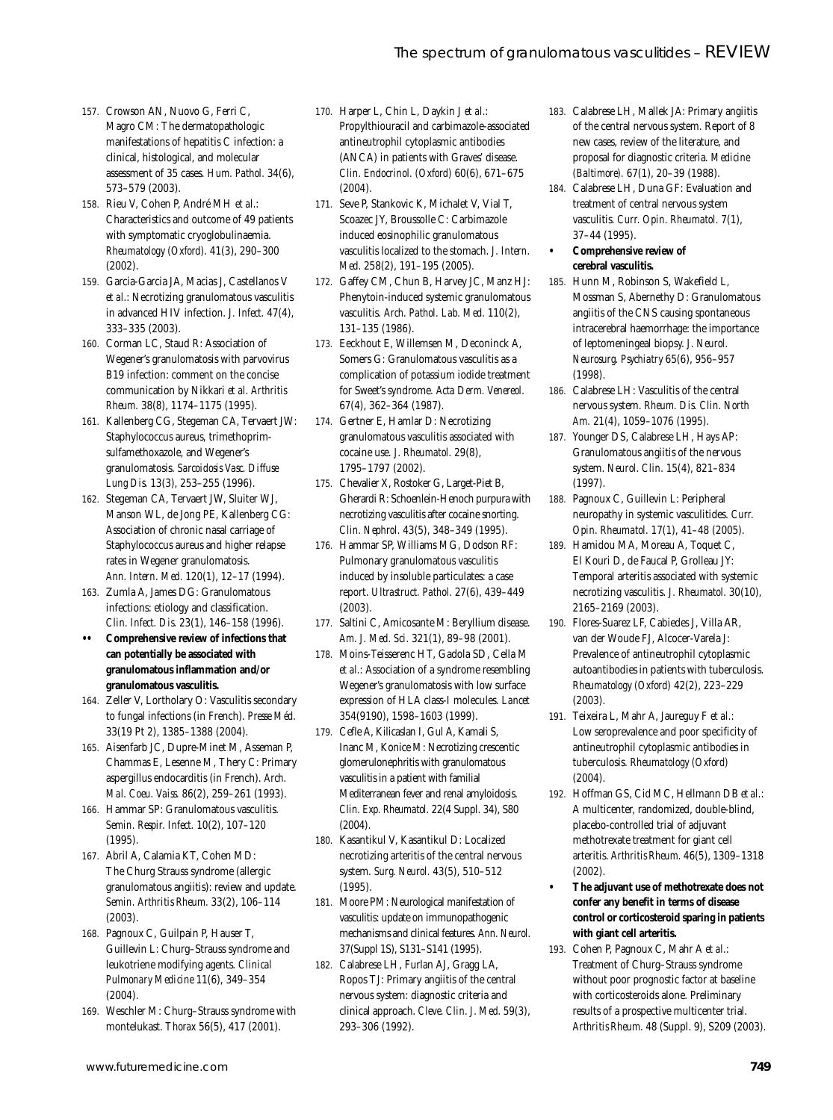- 157. Crowson AN, Nuovo G, Ferri C, Magro CM: The dermatopathologic manifestations of hepatitis C infection: a clinical, histological, and molecular assessment of 35 cases. *Hum. Pathol.* 34(6), 573–579 (2003).
- 158. Rieu V, Cohen P, André MH *et al.*: Characteristics and outcome of 49 patients with symptomatic cryoglobulinaemia. *Rheumatology (Oxford).* 41(3), 290–300 (2002).
- 159. Garcia-Garcia JA, Macias J, Castellanos V *et al.*: Necrotizing granulomatous vasculitis in advanced HIV infection. *J. Infect.* 47(4), 333–335 (2003).
- 160. Corman LC, Staud R: Association of Wegener's granulomatosis with parvovirus B19 infection: comment on the concise communication by Nikkari *et al*. *Arthritis Rheum.* 38(8), 1174–1175 (1995).
- 161. Kallenberg CG, Stegeman CA, Tervaert JW: Staphylococcus aureus, trimethoprimsulfamethoxazole, and Wegener's granulomatosis. *Sarcoidosis Vasc. Diffuse Lung Dis.* 13(3), 253–255 (1996).
- 162. Stegeman CA, Tervaert JW, Sluiter WJ, Manson WL, de Jong PE, Kallenberg CG: Association of chronic nasal carriage of Staphylococcus aureus and higher relapse rates in Wegener granulomatosis. *Ann. Intern. Med.* 120(1), 12–17 (1994).
- 163. Zumla A, James DG: Granulomatous infections: etiology and classification. *Clin. Infect. Dis.* 23(1), 146–158 (1996).
- **•• Comprehensive review of infections that can potentially be associated with granulomatous inflammation and/or granulomatous vasculitis.**
- 164. Zeller V, Lortholary O: Vasculitis secondary to fungal infections (in French). *Presse Méd.* 33(19 Pt 2), 1385–1388 (2004).
- 165. Aisenfarb JC, Dupre-Minet M, Asseman P, Chammas E, Lesenne M, Thery C: Primary aspergillus endocarditis (in French). *Arch. Mal. Coeu. Vaiss.* 86(2), 259–261 (1993).
- 166. Hammar SP: Granulomatous vasculitis. *Semin. Respir. Infect.* 10(2), 107–120 (1995).
- 167. Abril A, Calamia KT, Cohen MD: The Churg Strauss syndrome (allergic granulomatous angiitis): review and update. *Semin. Arthritis Rheum.* 33(2), 106–114 (2003).
- 168. Pagnoux C, Guilpain P, Hauser T, Guillevin L: Churg–Strauss syndrome and leukotriene modifying agents. *Clinical Pulmonary Medicine* 11(6), 349–354 (2004).
- 169. Weschler M: Churg–Strauss syndrome with montelukast. *Thorax* 56(5), 417 (2001).
	-
- 170. Harper L, Chin L, Daykin J *et al.*: Propylthiouracil and carbimazole-associated antineutrophil cytoplasmic antibodies (ANCA) in patients with Graves' disease. *Clin. Endocrinol. (Oxford)* 60(6), 671–675 (2004).
- 171. Seve P, Stankovic K, Michalet V, Vial T, Scoazec JY, Broussolle C: Carbimazole induced eosinophilic granulomatous vasculitis localized to the stomach. *J. Intern. Med.* 258(2), 191–195 (2005).
- 172. Gaffey CM, Chun B, Harvey JC, Manz HJ: Phenytoin-induced systemic granulomatous vasculitis. *Arch. Pathol. Lab. Med.* 110(2), 131–135 (1986).
- 173. Eeckhout E, Willemsen M, Deconinck A, Somers G: Granulomatous vasculitis as a complication of potassium iodide treatment for Sweet's syndrome. *Acta Derm. Venereol.* 67(4), 362–364 (1987).
- 174. Gertner E, Hamlar D: Necrotizing granulomatous vasculitis associated with cocaine use. *J. Rheumatol.* 29(8), 1795–1797 (2002).
- 175. Chevalier X, Rostoker G, Larget-Piet B, Gherardi R: Schoenlein-Henoch purpura with necrotizing vasculitis after cocaine snorting. *Clin. Nephrol.* 43(5), 348–349 (1995).
- 176. Hammar SP, Williams MG, Dodson RF: Pulmonary granulomatous vasculitis induced by insoluble particulates: a case report. *Ultrastruct. Pathol.* 27(6), 439–449 (2003).
- 177. Saltini C, Amicosante M: Beryllium disease. *Am. J. Med. Sci.* 321(1), 89–98 (2001).
- 178. Moins-Teisserenc HT, Gadola SD, Cella M *et al.*: Association of a syndrome resembling Wegener's granulomatosis with low surface expression of HLA class-I molecules. *Lancet* 354(9190), 1598–1603 (1999).
- 179. Cefle A, Kilicaslan I, Gul A, Kamali S, Inanc M, Konice M: Necrotizing crescentic glomerulonephritis with granulomatous vasculitis in a patient with familial Mediterranean fever and renal amyloidosis. *Clin. Exp. Rheumatol.* 22(4 Suppl. 34), S80 (2004).
- 180. Kasantikul V, Kasantikul D: Localized necrotizing arteritis of the central nervous system. *Surg. Neurol.* 43(5), 510–512 (1995).
- 181. Moore PM: Neurological manifestation of vasculitis: update on immunopathogenic mechanisms and clinical features. *Ann. Neurol.*  37(Suppl 1S), S131–S141 (1995).
- 182. Calabrese LH, Furlan AJ, Gragg LA, Ropos TJ: Primary angiitis of the central nervous system: diagnostic criteria and clinical approach. *Cleve. Clin. J. Med.* 59(3), 293–306 (1992).
- 183. Calabrese LH, Mallek JA: Primary angiitis of the central nervous system. Report of 8 new cases, review of the literature, and proposal for diagnostic criteria. *Medicine (Baltimore).* 67(1), 20–39 (1988).
- 184. Calabrese LH, Duna GF: Evaluation and treatment of central nervous system vasculitis. *Curr. Opin. Rheumatol.* 7(1), 37–44 (1995).
- **Comprehensive review of cerebral vasculitis.**
- 185. Hunn M, Robinson S, Wakefield L, Mossman S, Abernethy D: Granulomatous angiitis of the CNS causing spontaneous intracerebral haemorrhage: the importance of leptomeningeal biopsy. *J. Neurol. Neurosurg. Psychiatry* 65(6), 956–957 (1998).
- 186. Calabrese LH: Vasculitis of the central nervous system. *Rheum. Dis. Clin. North Am.* 21(4), 1059–1076 (1995).
- 187. Younger DS, Calabrese LH, Hays AP: Granulomatous angiitis of the nervous system. *Neurol. Clin.* 15(4), 821–834 (1997).
- 188. Pagnoux C, Guillevin L: Peripheral neuropathy in systemic vasculitides. *Curr. Opin. Rheumatol.* 17(1), 41–48 (2005).
- 189. Hamidou MA, Moreau A, Toquet C, El Kouri D, de Faucal P, Grolleau JY: Temporal arteritis associated with systemic necrotizing vasculitis. *J. Rheumatol.* 30(10), 2165–2169 (2003).
- 190. Flores-Suarez LF, Cabiedes J, Villa AR, van der Woude FJ, Alcocer-Varela J: Prevalence of antineutrophil cytoplasmic autoantibodies in patients with tuberculosis. *Rheumatology (Oxford)* 42(2), 223–229 (2003).
- 191. Teixeira L, Mahr A, Jaureguy F *et al.*: Low seroprevalence and poor specificity of antineutrophil cytoplasmic antibodies in tuberculosis. *Rheumatology (Oxford)* (2004).
- 192. Hoffman GS, Cid MC, Hellmann DB *et al.*: A multicenter, randomized, double-blind, placebo-controlled trial of adjuvant methotrexate treatment for giant cell arteritis. *Arthritis Rheum.* 46(5), 1309–1318 (2002).
- **The adjuvant use of methotrexate does not confer any benefit in terms of disease control or corticosteroid sparing in patients with giant cell arteritis.**
- 193. Cohen P, Pagnoux C, Mahr A *et al.*: Treatment of Churg–Strauss syndrome without poor prognostic factor at baseline with corticosteroids alone. Preliminary results of a prospective multicenter trial. *Arthritis Rheum.* 48 (Suppl. 9), S209 (2003).